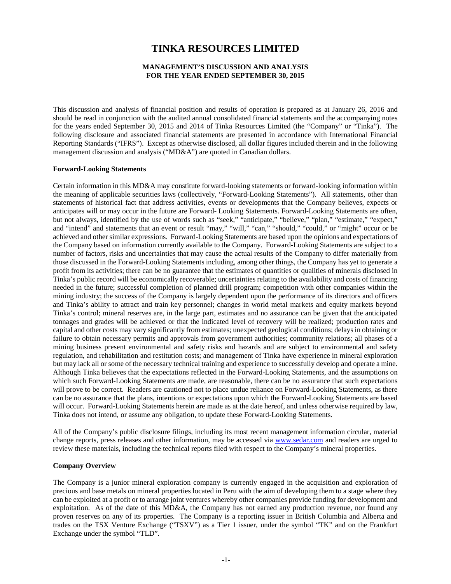# **TINKA RESOURCES LIMITED**

### **MANAGEMENT'S DISCUSSION AND ANALYSIS FOR THE YEAR ENDED SEPTEMBER 30, 2015**

This discussion and analysis of financial position and results of operation is prepared as at January 26, 2016 and should be read in conjunction with the audited annual consolidated financial statements and the accompanying notes for the years ended September 30, 2015 and 2014 of Tinka Resources Limited (the "Company" or "Tinka"). The following disclosure and associated financial statements are presented in accordance with International Financial Reporting Standards ("IFRS"). Except as otherwise disclosed, all dollar figures included therein and in the following management discussion and analysis ("MD&A") are quoted in Canadian dollars.

### **Forward-Looking Statements**

Certain information in this MD&A may constitute forward-looking statements or forward-looking information within the meaning of applicable securities laws (collectively, "Forward-Looking Statements"). All statements, other than statements of historical fact that address activities, events or developments that the Company believes, expects or anticipates will or may occur in the future are Forward- Looking Statements. Forward-Looking Statements are often, but not always, identified by the use of words such as "seek," "anticipate," "believe," "plan," "estimate," "expect," and "intend" and statements that an event or result "may," "will," "can," "should," "could," or "might" occur or be achieved and other similar expressions. Forward-Looking Statements are based upon the opinions and expectations of the Company based on information currently available to the Company. Forward-Looking Statements are subject to a number of factors, risks and uncertainties that may cause the actual results of the Company to differ materially from those discussed in the Forward-Looking Statements including, among other things, the Company has yet to generate a profit from its activities; there can be no guarantee that the estimates of quantities or qualities of minerals disclosed in Tinka's public record will be economically recoverable; uncertainties relating to the availability and costs of financing needed in the future; successful completion of planned drill program; competition with other companies within the mining industry; the success of the Company is largely dependent upon the performance of its directors and officers and Tinka's ability to attract and train key personnel; changes in world metal markets and equity markets beyond Tinka's control; mineral reserves are, in the large part, estimates and no assurance can be given that the anticipated tonnages and grades will be achieved or that the indicated level of recovery will be realized; production rates and capital and other costs may vary significantly from estimates; unexpected geological conditions; delays in obtaining or failure to obtain necessary permits and approvals from government authorities; community relations; all phases of a mining business present environmental and safety risks and hazards and are subject to environmental and safety regulation, and rehabilitation and restitution costs; and management of Tinka have experience in mineral exploration but may lack all or some of the necessary technical training and experience to successfully develop and operate a mine. Although Tinka believes that the expectations reflected in the Forward-Looking Statements, and the assumptions on which such Forward-Looking Statements are made, are reasonable, there can be no assurance that such expectations will prove to be correct. Readers are cautioned not to place undue reliance on Forward-Looking Statements, as there can be no assurance that the plans, intentions or expectations upon which the Forward-Looking Statements are based will occur. Forward-Looking Statements herein are made as at the date hereof, and unless otherwise required by law, Tinka does not intend, or assume any obligation, to update these Forward-Looking Statements.

All of the Company's public disclosure filings, including its most recent management information circular, material change reports, press releases and other information, may be accessed via [www.sedar.com](http://www.sedar.com/) and readers are urged to review these materials, including the technical reports filed with respect to the Company's mineral properties.

#### **Company Overview**

The Company is a junior mineral exploration company is currently engaged in the acquisition and exploration of precious and base metals on mineral properties located in Peru with the aim of developing them to a stage where they can be exploited at a profit or to arrange joint ventures whereby other companies provide funding for development and exploitation. As of the date of this MD&A, the Company has not earned any production revenue, nor found any proven reserves on any of its properties. The Company is a reporting issuer in British Columbia and Alberta and trades on the TSX Venture Exchange ("TSXV") as a Tier 1 issuer, under the symbol "TK" and on the Frankfurt Exchange under the symbol "TLD".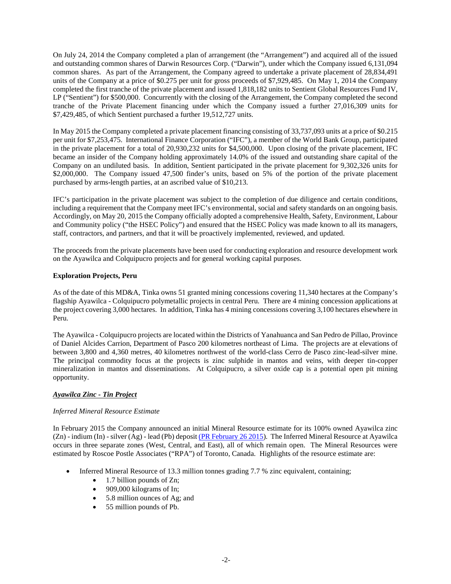On July 24, 2014 the Company completed a plan of arrangement (the "Arrangement") and acquired all of the issued and outstanding common shares of Darwin Resources Corp. ("Darwin"), under which the Company issued 6,131,094 common shares. As part of the Arrangement, the Company agreed to undertake a private placement of 28,834,491 units of the Company at a price of \$0.275 per unit for gross proceeds of \$7,929,485. On May 1, 2014 the Company completed the first tranche of the private placement and issued 1,818,182 units to Sentient Global Resources Fund IV, LP ("Sentient") for \$500,000. Concurrently with the closing of the Arrangement, the Company completed the second tranche of the Private Placement financing under which the Company issued a further 27,016,309 units for \$7,429,485, of which Sentient purchased a further 19,512,727 units.

In May 2015 the Company completed a private placement financing consisting of 33,737,093 units at a price of \$0.215 per unit for \$7,253,475. International Finance Corporation ("IFC"), a member of the World Bank Group, participated in the private placement for a total of 20,930,232 units for \$4,500,000. Upon closing of the private placement, IFC became an insider of the Company holding approximately 14.0% of the issued and outstanding share capital of the Company on an undiluted basis. In addition, Sentient participated in the private placement for 9,302,326 units for \$2,000,000. The Company issued 47,500 finder's units, based on 5% of the portion of the private placement purchased by arms-length parties, at an ascribed value of \$10,213.

IFC's participation in the private placement was subject to the completion of due diligence and certain conditions, including a requirement that the Company meet IFC's environmental, social and safety standards on an ongoing basis. Accordingly, on May 20, 2015 the Company officially adopted a comprehensive Health, Safety, Environment, Labour and Community policy ("the HSEC Policy") and ensured that the HSEC Policy was made known to all its managers, staff, contractors, and partners, and that it will be proactively implemented, reviewed, and updated.

The proceeds from the private placements have been used for conducting exploration and resource development work on the Ayawilca and Colquipucro projects and for general working capital purposes.

# **Exploration Projects, Peru**

As of the date of this MD&A, Tinka owns 51 granted mining concessions covering 11,340 hectares at the Company's flagship Ayawilca - Colquipucro polymetallic projects in central Peru. There are 4 mining concession applications at the project covering 3,000 hectares. In addition, Tinka has 4 mining concessions covering 3,100 hectares elsewhere in Peru.

The Ayawilca - Colquipucro projects are located within the Districts of Yanahuanca and San Pedro de Pillao, Province of Daniel Alcides Carrion, Department of Pasco 200 kilometres northeast of Lima. The projects are at elevations of between 3,800 and 4,360 metres, 40 kilometres northwest of the world-class Cerro de Pasco zinc-lead-silver mine. The principal commodity focus at the projects is zinc sulphide in mantos and veins, with deeper tin-copper mineralization in mantos and disseminations. At Colquipucro, a silver oxide cap is a potential open pit mining opportunity.

### *Ayawilca Zinc - Tin Project*

### *Inferred Mineral Resource Estimate*

In February 2015 the Company announced an initial Mineral Resource estimate for its 100% owned Ayawilca zinc (Zn) - indium (In) - silver (Ag) - lead (Pb) deposi[t \(PR February 26 2015\)](http://www.tinkaresources.com/news/00-00-tinka-announces-initial-inferred-zinc-resource-of-13-3-million-tonnes-grading-7-697874). The Inferred Mineral Resource at Ayawilca occurs in three separate zones (West, Central, and East), all of which remain open. The Mineral Resources were estimated by Roscoe Postle Associates ("RPA") of Toronto, Canada. Highlights of the resource estimate are:

- Inferred Mineral Resource of 13.3 million tonnes grading 7.7 % zinc equivalent, containing;
	- 1.7 billion pounds of Zn;
	- 909,000 kilograms of In;
	- 5.8 million ounces of Ag; and
	- 55 million pounds of Pb.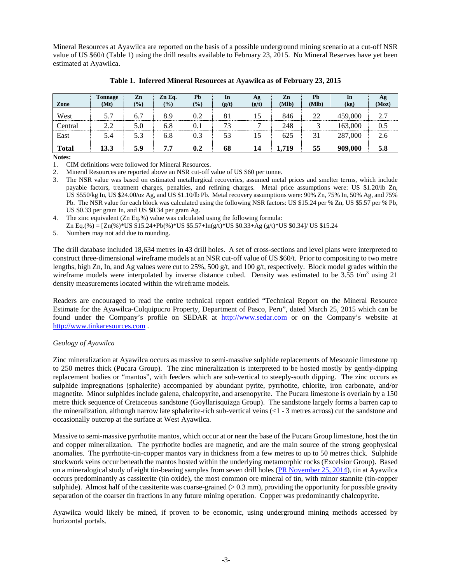Mineral Resources at Ayawilca are reported on the basis of a possible underground mining scenario at a cut-off NSR value of US \$60/t (Table 1) using the drill results available to February 23, 2015. No Mineral Reserves have yet been estimated at Ayawilca.

| Zone         | Tonnage<br>(Mt) | Zn<br>$(\%)$ | Zn Eq.<br>(9/0) | Pb<br>$\frac{9}{0}$ | <b>In</b><br>(g/t) | Ag<br>(g/t) | Zn<br>(Mlb) | Ph<br>(M1b) | In<br>(kg) | Ag<br>(Moz) |
|--------------|-----------------|--------------|-----------------|---------------------|--------------------|-------------|-------------|-------------|------------|-------------|
| West         | 5.7             | 6.7          | 8.9             | 0.2                 | 81                 | 15          | 846         | 22          | 459,000    | 2.7         |
| Central      | 2.2             | 5.0          | 6.8             | $\rm 0.1$           | 73                 |             | 248         |             | 163.000    | 0.5         |
| East         | 5.4             | 5.3          | 6.8             | 0.3                 | 53                 | 15          | 625         | 31          | 287,000    | 2.6         |
| <b>Total</b> | 13.3            | 5.9          | 7.7             | $0.2\,$             | 68                 | 14          | 1,719       | 55          | 909,000    | 5.8         |

**Table 1. Inferred Mineral Resources at Ayawilca as of February 23, 2015**

**Notes:**

1. CIM definitions were followed for Mineral Resources.

2. Mineral Resources are reported above an NSR cut-off value of US \$60 per tonne.

3. The NSR value was based on estimated metallurgical recoveries, assumed metal prices and smelter terms, which include payable factors, treatment charges, penalties, and refining charges. Metal price assumptions were: US \$1.20/lb Zn, US \$550/kg In, US \$24.00/oz Ag, and US \$1.10/lb Pb. Metal recovery assumptions were: 90% Zn, 75% In, 50% Ag, and 75% Pb. The NSR value for each block was calculated using the following NSR factors: US \$15.24 per % Zn, US \$5.57 per % Pb, US \$0.33 per gram In, and US \$0.34 per gram Ag.

4. The zinc equivalent (Zn Eq.%) value was calculated using the following formula:

Zn Eq.(%) = [Zn(%)\*US \$15.24+Pb(%)\*US \$5.57+In(g/t)\*US \$0.33+Ag (g/t)\*US \$0.34]/ US \$15.24

5. Numbers may not add due to rounding.

The drill database included 18,634 metres in 43 drill holes. A set of cross-sections and level plans were interpreted to construct three-dimensional wireframe models at an NSR cut-off value of US \$60/t. Prior to compositing to two metre lengths, high Zn, In, and Ag values were cut to 25%, 500 g/t, and 100 g/t, respectively. Block model grades within the wireframe models were interpolated by inverse distance cubed. Density was estimated to be 3.55  $t/m<sup>3</sup>$  using 21 density measurements located within the wireframe models.

Readers are encouraged to read the entire technical report entitled "Technical Report on the Mineral Resource Estimate for the Ayawilca-Colquipucro Property, Department of Pasco, Peru", dated March 25, 2015 which can be found under the Company's profile on SEDAR at [http://www.sedar.com](http://www.sedar.com/) or on the Company's website at [http://www.tinkaresources.com](http://www.tinkaresources.com/) .

# *Geology of Ayawilca*

Zinc mineralization at Ayawilca occurs as massive to semi-massive sulphide replacements of Mesozoic limestone up to 250 metres thick (Pucara Group). The zinc mineralization is interpreted to be hosted mostly by gently-dipping replacement bodies or "mantos", with feeders which are sub-vertical to steeply-south dipping. The zinc occurs as sulphide impregnations (sphalerite) accompanied by abundant pyrite, pyrrhotite, chlorite, iron carbonate, and/or magnetite. Minor sulphides include galena, chalcopyrite, and arsenopyrite. The Pucara limestone is overlain by a 150 metre thick sequence of Cretaceous sandstone (Goyllarisquizga Group). The sandstone largely forms a barren cap to the mineralization, although narrow late sphalerite-rich sub-vertical veins (<1 - 3 metres across) cut the sandstone and occasionally outcrop at the surface at West Ayawilca.

Massive to semi-massive pyrrhotite mantos, which occur at or near the base of the Pucara Group limestone, host the tin and copper mineralization. The pyrrhotite bodies are magnetic, and are the main source of the strong geophysical anomalies. The pyrrhotite-tin-copper mantos vary in thickness from a few metres to up to 50 metres thick. Sulphide stockwork veins occur beneath the mantos hosted within the underlying metamorphic rocks (Excelsior Group). Based on a mineralogical study of eight tin-bearing samples from seven drill holes [\(PR November 25, 2014\)](http://www.tinkaresources.com/news/00-00-tinka-discovers-tin-copper-mineralization-beneath-high-grade-zinc-at-ayawilca-685156), tin at Ayawilca occurs predominantly as cassiterite (tin oxide)**,** the most common ore mineral of tin, with minor stannite (tin-copper sulphide). Almost half of the cassiterite was coarse-grained  $(> 0.3 \text{ mm})$ , providing the opportunity for possible gravity separation of the coarser tin fractions in any future mining operation. Copper was predominantly chalcopyrite.

Ayawilca would likely be mined, if proven to be economic, using underground mining methods accessed by horizontal portals.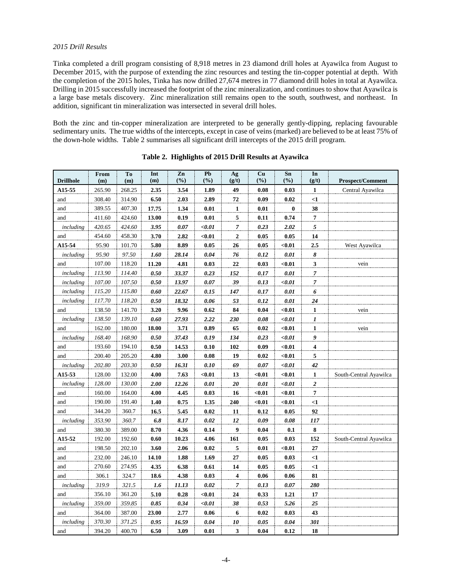### *2015 Drill Results*

Tinka completed a drill program consisting of 8,918 metres in 23 diamond drill holes at Ayawilca from August to December 2015, with the purpose of extending the zinc resources and testing the tin-copper potential at depth. With the completion of the 2015 holes, Tinka has now drilled 27,674 metres in 77 diamond drill holes in total at Ayawilca. Drilling in 2015 successfully increased the footprint of the zinc mineralization, and continues to show that Ayawilca is a large base metals discovery. Zinc mineralization still remains open to the south, southwest, and northeast. In addition, significant tin mineralization was intersected in several drill holes.

Both the zinc and tin-copper mineralization are interpreted to be generally gently-dipping, replacing favourable sedimentary units. The true widths of the intercepts, except in case of veins (marked) are believed to be at least 75% of the down-hole widths. Table 2 summarises all significant drill intercepts of the 2015 drill program.

| <b>Drillhole</b> | From<br>(m) | To<br>(m) | Int<br>(m) | Zn<br>(%) | Pb<br>(%) | Ag<br>(g/t)             | Cu<br>(%) | Sn<br>(%) | In<br>(g/t)             | <b>Prospect/Comment</b> |
|------------------|-------------|-----------|------------|-----------|-----------|-------------------------|-----------|-----------|-------------------------|-------------------------|
| A15-55           | 265.90      | 268.25    | 2.35       | 3.54      | 1.89      | 49                      | 0.08      | 0.03      | $\mathbf{1}$            | Central Ayawilca        |
| and              | 308.40      | 314.90    | 6.50       | 2.03      | 2.89      | 72                      | 0.09      | 0.02      | $<$ 1                   |                         |
| and              | 389.55      | 407.30    | 17.75      | 1.34      | 0.01      | $\mathbf{1}$            | 0.01      | $\bf{0}$  | 38                      |                         |
| and              | 411.60      | 424.60    | 13.00      | 0.19      | 0.01      | 5                       | 0.11      | 0.74      | $\overline{7}$          |                         |
| including        | 420.65      | 424.60    | 3.95       | 0.07      | $0.01$    | $\boldsymbol{7}$        | 0.23      | 2.02      | 5                       |                         |
| and              | 454.60      | 458.30    | 3.70       | 2.82      | $0.01$    | $\overline{\mathbf{c}}$ | 0.05      | 0.05      | 14                      |                         |
| A15-54           | 95.90       | 101.70    | 5.80       | 8.89      | 0.05      | 26                      | 0.05      | $0.01$    | 2.5                     | West Ayawilca           |
| including        | 95.90       | 97.50     | 1.60       | 28.14     | 0.04      | 76                      | 0.12      | 0.01      | 8                       |                         |
| and              | 107.00      | 118.20    | 11.20      | 4.81      | 0.03      | 22                      | 0.03      | $0.01$    | 3                       | vein                    |
| including        | 113.90      | 114.40    | 0.50       | 33.37     | 0.23      | 152                     | 0.17      | 0.01      | $\boldsymbol{7}$        |                         |
| including        | 107.00      | 107.50    | 0.50       | 13.97     | 0.07      | 39                      | 0.13      | $0.01$    | $\overline{7}$          |                         |
| including        | 115.20      | 115.80    | 0.60       | 22.67     | 0.15      | 147                     | 0.17      | 0.01      | 6                       |                         |
| including        | 117.70      | 118.20    | 0.50       | 18.32     | 0.06      | 53                      | 0.12      | 0.01      | 24                      |                         |
| and              | 138.50      |           |            | 9.96      |           | 84                      |           |           |                         | vein                    |
|                  |             | 141.70    | 3.20       |           | 0.62      |                         | 0.04      | $0.01$    | $\mathbf{1}$            |                         |
| including        | 138.50      | 139.10    | 0.60       | 27.93     | 2.22      | 230                     | 0.08      | $0.01$    | 1                       |                         |
| and              | 162.00      | 180.00    | 18.00      | 3.71      | 0.89      | 65                      | 0.02      | $0.01$    | 1<br>$\boldsymbol{g}$   | vein                    |
| including        | 168.40      | 168.90    | 0.50       | 37.43     | 0.19      | 134                     | 0.23      | $0.01$    |                         |                         |
| and              | 193.60      | 194.10    | 0.50       | 14.53     | 0.10      | 102                     | 0.09      | $0.01$    | $\overline{\mathbf{4}}$ |                         |
| and              | 200.40      | 205.20    | 4.80       | 3.00      | 0.08      | 19                      | 0.02      | $0.01$    | 5                       |                         |
| including        | 202.80      | 203.30    | 0.50       | 16.31     | 0.10      | 69                      | 0.07      | $0.01$    | 42                      |                         |
| A15-53           | 128.00      | 132.00    | 4.00       | 7.63      | $0.01$    | 13                      | $0.01$    | $0.01$    | $\mathbf{1}$            | South-Central Ayawilca  |
| including        | 128.00      | 130.00    | 2.00       | 12.26     | 0.01      | 20                      | 0.01      | $0.01$    | $\boldsymbol{2}$        |                         |
| and              | 160.00      | 164.00    | 4.00       | 4.45      | 0.03      | 16                      | $0.01$    | $0.01$    | 7                       |                         |
| and              | 190.00      | 191.40    | 1.40       | 0.75      | 1.35      | 240                     | $0.01$    | $0.01$    | $\leq$ 1                |                         |
| and              | 344.20      | 360.7     | 16.5       | 5.45      | 0.02      | 11                      | 0.12      | 0.05      | 92                      |                         |
| including        | 353.90      | 360.7     | 6.8        | 8.17      | 0.02      | 12                      | 0.09      | 0.08      | 117                     |                         |
| and              | 380.30      | 389.00    | 8.70       | 4.36      | 0.14      | 9                       | 0.04      | 0.1       | 8                       |                         |
| A15-52           | 192.00      | 192.60    | 0.60       | 10.23     | 4.06      | 161                     | 0.05      | 0.03      | 152                     | South-Central Ayawilca  |
| and              | 198.50      | 202.10    | 3.60       | 2.06      | 0.02      | 5                       | 0.01      | $0.01$    | $\bf 27$                |                         |
| and              | 232.00      | 246.10    | 14.10      | 1.88      | 1.69      | 27                      | 0.05      | 0.03      | $\leq$ 1                |                         |
| and              | 270.60      | 274.95    | 4.35       | 6.38      | 0.61      | 14                      | 0.05      | 0.05      | $\leq$ 1                |                         |
| and              | 306.1       | 324.7     | 18.6       | 4.38      | 0.03      | 4                       | 0.06      | 0.06      | 81                      |                         |
| including        | 319.9       | 321.5     | 1.6        | 11.13     | 0.02      | $\boldsymbol{7}$        | 0.13      | 0.07      | 280                     |                         |
| and              | 356.10      | 361.20    | 5.10       | 0.28      | $0.01$    | 24                      | 0.33      | 1.21      | 17                      |                         |
| including        | 359.00      | 359.85    | 0.85       | 0.34      | $0.01$    | 38                      | 0.53      | 5.26      | 25                      |                         |
| and              | 364.00      | 387.00    | 23.00      | 2.77      | 0.06      | 6                       | 0.02      | 0.03      | 43                      |                         |
| including        | 370.30      | 371.25    | 0.95       | 16.59     | 0.04      | 10                      | 0.05      | 0.04      | 301                     |                         |
| and              | 394.20      | 400.70    | 6.50       | 3.09      | 0.01      | 3                       | 0.04      | 0.12      | 18                      |                         |

**Table 2. Highlights of 2015 Drill Results at Ayawilca**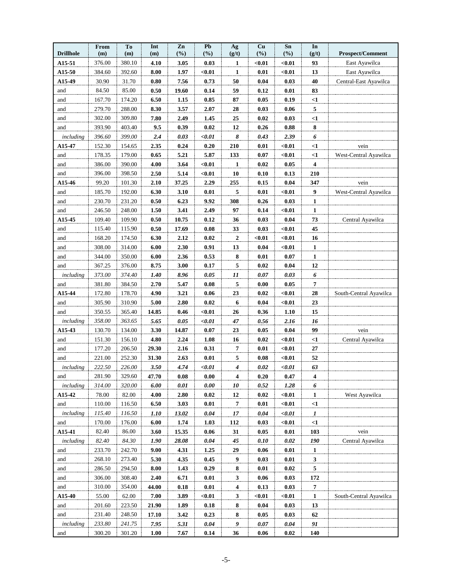| $0.01$<br>93<br>A15-51<br>376.00<br>380.10<br>4.10<br>3.05<br>0.03<br>$\mathbf{1}$<br>$0.01$<br>East Ayawilca<br>A15-50<br>392.60<br>1.97<br>$0.01$<br>1<br>0.01<br>13<br>East Ayawilca<br>384.60<br>8.00<br>$0.01$<br>A15-49<br>30.90<br>0.80<br>7.56<br>0.73<br>50<br>0.04<br>0.03<br>40<br>Central-East Ayawilca<br>31.70<br>59<br>$0.01\,$<br>84.50<br>85.00<br>0.50<br>19.60<br>0.14<br>0.12<br>83<br>and<br>167.70<br>174.20<br>6.50<br>0.85<br>0.05<br>0.19<br>and<br>1.15<br>87<br>$\leq$ 1<br>279.70<br>288.00<br>8.30<br>3.57<br>2.07<br>28<br>0.03<br>0.06<br>5<br>and<br>2.49<br>302.00<br>309.80<br>7.80<br>1.45<br>25<br>0.02<br>0.03<br>$\leq1$<br>and<br>393.90<br>403.40<br>9.5<br>0.39<br>0.02<br>12<br>0.26<br>0.88<br>8<br>and<br>$\pmb{8}$<br>including<br>396.60<br>399.00<br>2.4<br>0.03<br>$0.01$<br>0.43<br>2.39<br>6<br>0.24<br>0.20<br>$0.01$<br>A15-47<br>152.30<br>154.65<br>2.35<br>210<br>0.01<br>$<$ 1<br>vein<br>179.00<br>178.35<br>5.87<br>133<br>0.07<br>$0.01$<br>West-Central Ayawilca<br>and<br>0.65<br>5.21<br>$<$ 1<br>$\overline{\mathbf{4}}$<br>390.00<br>4.00<br>3.64<br>$0.01$<br>1<br>0.02<br>0.05<br>and<br>386.00<br>398.50<br>2.50<br>5.14<br>$0.01$<br>10<br>0.10<br>0.13<br>210<br>and<br>396.00<br>A15-46<br>99.20<br>37.25<br>2.29<br>255<br>0.04<br>347<br>101.30<br>2.10<br>0.15<br>vein<br>192.00<br>6.30<br>3.10<br>0.01<br>5<br>0.01<br>$0.01$<br>9<br>West-Central Ayawilca<br>185.70<br>and<br>6.23<br>9.92<br>308<br>0.26<br>230.70<br>231.20<br>0.50<br>0.03<br>$\mathbf{1}$<br>and<br>246.50<br>248.00<br>1.50<br>3.41<br>2.49<br>97<br>0.14<br>$0.01$<br>and<br>1<br>A15-45<br>109.40<br>109.90<br>0.50<br>10.75<br>0.12<br>36<br>0.03<br>0.04<br>73<br>Central Ayawilca<br>and<br>115.40<br>115.90<br>0.50<br>17.69<br>0.08<br>33<br>0.03<br>$0.01$<br>45<br>$\boldsymbol{2}$<br>168.20<br>174.50<br>6.30<br>2.12<br>0.02<br>$0.01$<br>$0.01$<br>16<br>and<br>2.30<br>0.91<br>13<br>0.04<br>$0.01$<br>$\mathbf{1}$<br>308.00<br>314.00<br>6.00<br>and<br>2.36<br>0.53<br>$\bf 8$<br>$0.01\,$<br>0.07<br>$\mathbf 1$<br>344.00<br>350.00<br>6.00<br>and<br>376.00<br>5<br>and<br>367.25<br>8.75<br>3.00<br>0.17<br>0.02<br>0.04<br>12<br>6<br>373.00<br>374.40<br>1.40<br>8.96<br>0.05<br>11<br>0.07<br>0.03<br>including<br>5<br>7<br>2.70<br>0.08<br>0.00<br>0.05<br>and<br>381.80<br>384.50<br>5.47<br>23<br>28<br>A15-44<br>178.70<br>4.90<br>3.21<br>0.06<br>0.02<br>$0.01$<br>172.80<br>South-Central Ayawilca<br>0.04<br>305.90<br>310.90<br>5.00<br>2.80<br>0.02<br>6<br>$0.01$<br>23<br>and<br>$0.01$<br>350.55<br>365.40<br>14.85<br>0.46<br>26<br>0.36<br>1.10<br>15<br>and<br>358.00<br>363.65<br>including<br>0.05<br>$0.01$<br>0.56<br>5.65<br>47<br>2.16<br>$16$<br>A15-43<br>130.70<br>134.00<br>3.30<br>14.87<br>0.07<br>0.05<br>0.04<br>99<br>23<br>vein<br>2.24<br>and<br>151.30<br>156.10<br>4.80<br>1.08<br>0.02<br>$0.01$<br>Central Ayawilca<br>16<br>$<$ 1<br>177.20<br>29.30<br>2.16<br>0.31<br>7<br>0.01<br>$0.01$<br>27<br>and<br>206.50<br>5<br>52<br>221.00<br>252.30<br>31.30<br>2.63<br>0.01<br>0.08<br>$0.01$<br>and<br>222.50<br>226.00<br>4.74<br>$0.01$<br>0.02<br>63<br>including<br>3.50<br>4<br>$0.01$<br>281.90<br>329.60<br>$\overline{\mathbf{4}}$<br>$\overline{\mathbf{4}}$<br>and<br>47.70<br>0.08<br>0.00<br>0.20<br>0.47<br>6<br>314.00<br>320.00<br>6.00<br>0.01<br>0.00<br>10<br>0.52<br>1.28<br>including<br>A15-42<br>$78.00\,$<br>82.00<br>4.00<br>2.80<br>0.02<br>12<br>0.02<br>$0.01$<br>$\mathbf{1}$<br>West Ayawilca<br>110.00<br>116.50<br>6.50<br>3.03<br>0.01<br>7<br>0.01<br>$0.01$<br>$\leq$ 1<br>and<br>115.40<br>17<br>0.04<br>including<br>116.50<br>1.10<br>13.02<br>0.04<br>$0.01$<br>$\overline{I}$<br>1.74<br>0.03<br>$0.01$<br>and<br>170.00<br>176.00<br>6.00<br>1.03<br>112<br><1<br>A15-41<br>82.40<br>86.00<br>3.60<br>15.35<br>0.06<br>31<br>0.05<br>0.01<br>103<br>vein<br>82.40<br>84.30<br>28.08<br>0.04<br>0.02<br>Central Ayawilca<br>including<br>1.90<br>45<br>0.10<br>190<br>233.70<br>242.70<br>9.00<br>4.31<br>1.25<br>${\bf 29}$<br>0.06<br>$0.01\,$<br>and<br>$\mathbf{1}$<br>268.10<br>273.40<br>5.30<br>4.35<br>0.45<br>9<br>0.03<br>0.01<br>3<br>and<br>$\overline{\mathbf{5}}$<br>294.50<br>8.00<br>1.43<br>0.29<br>8<br>0.01<br>0.02<br>286.50<br>and<br>306.00<br>308.40<br>2.40<br>6.71<br>0.01<br>3<br>0.06<br>0.03<br>172<br>and<br>$\boldsymbol{7}$<br>and<br>310.00<br>354.00<br>0.01<br>0.03<br>44.00<br>0.18<br>4<br>0.13<br>7.00<br>3.89<br>$0.01$<br>3<br>$0.01$<br>$\mathbf{1}$<br>A15-40<br>55.00<br>62.00<br>$<$ 0.01<br>South-Central Ayawilca<br>0.18<br>8<br>0.04<br>201.60<br>223.50<br>21.90<br>1.89<br>0.03<br>13<br>and<br>0.23<br>8<br>62<br>231.40<br>248.50<br>17.10<br>3.42<br>0.05<br>0.03<br>and<br>241.75<br>7.95<br>0.04<br>9<br>0.07<br>0.04<br>including<br>233.80<br>5.31<br>91<br>300.20<br>301.20<br>1.00<br>7.67<br>0.14<br>36<br>0.06<br>0.02<br>140<br>and | <b>Drillhole</b> | From<br>(m) | To<br>(m) | Int<br>(m) | Zn<br>(%) | P <sub>b</sub><br>(%) | Ag<br>(g/t) | Cu<br>(%) | Sn<br>(%) | In<br>(g/t) | <b>Prospect/Comment</b> |
|----------------------------------------------------------------------------------------------------------------------------------------------------------------------------------------------------------------------------------------------------------------------------------------------------------------------------------------------------------------------------------------------------------------------------------------------------------------------------------------------------------------------------------------------------------------------------------------------------------------------------------------------------------------------------------------------------------------------------------------------------------------------------------------------------------------------------------------------------------------------------------------------------------------------------------------------------------------------------------------------------------------------------------------------------------------------------------------------------------------------------------------------------------------------------------------------------------------------------------------------------------------------------------------------------------------------------------------------------------------------------------------------------------------------------------------------------------------------------------------------------------------------------------------------------------------------------------------------------------------------------------------------------------------------------------------------------------------------------------------------------------------------------------------------------------------------------------------------------------------------------------------------------------------------------------------------------------------------------------------------------------------------------------------------------------------------------------------------------------------------------------------------------------------------------------------------------------------------------------------------------------------------------------------------------------------------------------------------------------------------------------------------------------------------------------------------------------------------------------------------------------------------------------------------------------------------------------------------------------------------------------------------------------------------------------------------------------------------------------------------------------------------------------------------------------------------------------------------------------------------------------------------------------------------------------------------------------------------------------------------------------------------------------------------------------------------------------------------------------------------------------------------------------------------------------------------------------------------------------------------------------------------------------------------------------------------------------------------------------------------------------------------------------------------------------------------------------------------------------------------------------------------------------------------------------------------------------------------------------------------------------------------------------------------------------------------------------------------------------------------------------------------------------------------------------------------------------------------------------------------------------------------------------------------------------------------------------------------------------------------------------------------------------------------------------------------------------------------------------------------------------------------------------------------------------------------------------------------------------------------------------------------------------------------------------------------------------------------------------------------------------------------------------------------------------------------------------------------------------------------------------------------------------------------------------------------------------------------------------------------------------------------------------------------------------------------------------------------------------------------------------------------------------------------------------------------------------------------------------------------------------------------------------------------------------------------------------|------------------|-------------|-----------|------------|-----------|-----------------------|-------------|-----------|-----------|-------------|-------------------------|
|                                                                                                                                                                                                                                                                                                                                                                                                                                                                                                                                                                                                                                                                                                                                                                                                                                                                                                                                                                                                                                                                                                                                                                                                                                                                                                                                                                                                                                                                                                                                                                                                                                                                                                                                                                                                                                                                                                                                                                                                                                                                                                                                                                                                                                                                                                                                                                                                                                                                                                                                                                                                                                                                                                                                                                                                                                                                                                                                                                                                                                                                                                                                                                                                                                                                                                                                                                                                                                                                                                                                                                                                                                                                                                                                                                                                                                                                                                                                                                                                                                                                                                                                                                                                                                                                                                                                                                                                                                                                                                                                                                                                                                                                                                                                                                                                                                                                                                                                                          |                  |             |           |            |           |                       |             |           |           |             |                         |
|                                                                                                                                                                                                                                                                                                                                                                                                                                                                                                                                                                                                                                                                                                                                                                                                                                                                                                                                                                                                                                                                                                                                                                                                                                                                                                                                                                                                                                                                                                                                                                                                                                                                                                                                                                                                                                                                                                                                                                                                                                                                                                                                                                                                                                                                                                                                                                                                                                                                                                                                                                                                                                                                                                                                                                                                                                                                                                                                                                                                                                                                                                                                                                                                                                                                                                                                                                                                                                                                                                                                                                                                                                                                                                                                                                                                                                                                                                                                                                                                                                                                                                                                                                                                                                                                                                                                                                                                                                                                                                                                                                                                                                                                                                                                                                                                                                                                                                                                                          |                  |             |           |            |           |                       |             |           |           |             |                         |
|                                                                                                                                                                                                                                                                                                                                                                                                                                                                                                                                                                                                                                                                                                                                                                                                                                                                                                                                                                                                                                                                                                                                                                                                                                                                                                                                                                                                                                                                                                                                                                                                                                                                                                                                                                                                                                                                                                                                                                                                                                                                                                                                                                                                                                                                                                                                                                                                                                                                                                                                                                                                                                                                                                                                                                                                                                                                                                                                                                                                                                                                                                                                                                                                                                                                                                                                                                                                                                                                                                                                                                                                                                                                                                                                                                                                                                                                                                                                                                                                                                                                                                                                                                                                                                                                                                                                                                                                                                                                                                                                                                                                                                                                                                                                                                                                                                                                                                                                                          |                  |             |           |            |           |                       |             |           |           |             |                         |
|                                                                                                                                                                                                                                                                                                                                                                                                                                                                                                                                                                                                                                                                                                                                                                                                                                                                                                                                                                                                                                                                                                                                                                                                                                                                                                                                                                                                                                                                                                                                                                                                                                                                                                                                                                                                                                                                                                                                                                                                                                                                                                                                                                                                                                                                                                                                                                                                                                                                                                                                                                                                                                                                                                                                                                                                                                                                                                                                                                                                                                                                                                                                                                                                                                                                                                                                                                                                                                                                                                                                                                                                                                                                                                                                                                                                                                                                                                                                                                                                                                                                                                                                                                                                                                                                                                                                                                                                                                                                                                                                                                                                                                                                                                                                                                                                                                                                                                                                                          |                  |             |           |            |           |                       |             |           |           |             |                         |
|                                                                                                                                                                                                                                                                                                                                                                                                                                                                                                                                                                                                                                                                                                                                                                                                                                                                                                                                                                                                                                                                                                                                                                                                                                                                                                                                                                                                                                                                                                                                                                                                                                                                                                                                                                                                                                                                                                                                                                                                                                                                                                                                                                                                                                                                                                                                                                                                                                                                                                                                                                                                                                                                                                                                                                                                                                                                                                                                                                                                                                                                                                                                                                                                                                                                                                                                                                                                                                                                                                                                                                                                                                                                                                                                                                                                                                                                                                                                                                                                                                                                                                                                                                                                                                                                                                                                                                                                                                                                                                                                                                                                                                                                                                                                                                                                                                                                                                                                                          |                  |             |           |            |           |                       |             |           |           |             |                         |
|                                                                                                                                                                                                                                                                                                                                                                                                                                                                                                                                                                                                                                                                                                                                                                                                                                                                                                                                                                                                                                                                                                                                                                                                                                                                                                                                                                                                                                                                                                                                                                                                                                                                                                                                                                                                                                                                                                                                                                                                                                                                                                                                                                                                                                                                                                                                                                                                                                                                                                                                                                                                                                                                                                                                                                                                                                                                                                                                                                                                                                                                                                                                                                                                                                                                                                                                                                                                                                                                                                                                                                                                                                                                                                                                                                                                                                                                                                                                                                                                                                                                                                                                                                                                                                                                                                                                                                                                                                                                                                                                                                                                                                                                                                                                                                                                                                                                                                                                                          |                  |             |           |            |           |                       |             |           |           |             |                         |
|                                                                                                                                                                                                                                                                                                                                                                                                                                                                                                                                                                                                                                                                                                                                                                                                                                                                                                                                                                                                                                                                                                                                                                                                                                                                                                                                                                                                                                                                                                                                                                                                                                                                                                                                                                                                                                                                                                                                                                                                                                                                                                                                                                                                                                                                                                                                                                                                                                                                                                                                                                                                                                                                                                                                                                                                                                                                                                                                                                                                                                                                                                                                                                                                                                                                                                                                                                                                                                                                                                                                                                                                                                                                                                                                                                                                                                                                                                                                                                                                                                                                                                                                                                                                                                                                                                                                                                                                                                                                                                                                                                                                                                                                                                                                                                                                                                                                                                                                                          |                  |             |           |            |           |                       |             |           |           |             |                         |
|                                                                                                                                                                                                                                                                                                                                                                                                                                                                                                                                                                                                                                                                                                                                                                                                                                                                                                                                                                                                                                                                                                                                                                                                                                                                                                                                                                                                                                                                                                                                                                                                                                                                                                                                                                                                                                                                                                                                                                                                                                                                                                                                                                                                                                                                                                                                                                                                                                                                                                                                                                                                                                                                                                                                                                                                                                                                                                                                                                                                                                                                                                                                                                                                                                                                                                                                                                                                                                                                                                                                                                                                                                                                                                                                                                                                                                                                                                                                                                                                                                                                                                                                                                                                                                                                                                                                                                                                                                                                                                                                                                                                                                                                                                                                                                                                                                                                                                                                                          |                  |             |           |            |           |                       |             |           |           |             |                         |
|                                                                                                                                                                                                                                                                                                                                                                                                                                                                                                                                                                                                                                                                                                                                                                                                                                                                                                                                                                                                                                                                                                                                                                                                                                                                                                                                                                                                                                                                                                                                                                                                                                                                                                                                                                                                                                                                                                                                                                                                                                                                                                                                                                                                                                                                                                                                                                                                                                                                                                                                                                                                                                                                                                                                                                                                                                                                                                                                                                                                                                                                                                                                                                                                                                                                                                                                                                                                                                                                                                                                                                                                                                                                                                                                                                                                                                                                                                                                                                                                                                                                                                                                                                                                                                                                                                                                                                                                                                                                                                                                                                                                                                                                                                                                                                                                                                                                                                                                                          |                  |             |           |            |           |                       |             |           |           |             |                         |
|                                                                                                                                                                                                                                                                                                                                                                                                                                                                                                                                                                                                                                                                                                                                                                                                                                                                                                                                                                                                                                                                                                                                                                                                                                                                                                                                                                                                                                                                                                                                                                                                                                                                                                                                                                                                                                                                                                                                                                                                                                                                                                                                                                                                                                                                                                                                                                                                                                                                                                                                                                                                                                                                                                                                                                                                                                                                                                                                                                                                                                                                                                                                                                                                                                                                                                                                                                                                                                                                                                                                                                                                                                                                                                                                                                                                                                                                                                                                                                                                                                                                                                                                                                                                                                                                                                                                                                                                                                                                                                                                                                                                                                                                                                                                                                                                                                                                                                                                                          |                  |             |           |            |           |                       |             |           |           |             |                         |
|                                                                                                                                                                                                                                                                                                                                                                                                                                                                                                                                                                                                                                                                                                                                                                                                                                                                                                                                                                                                                                                                                                                                                                                                                                                                                                                                                                                                                                                                                                                                                                                                                                                                                                                                                                                                                                                                                                                                                                                                                                                                                                                                                                                                                                                                                                                                                                                                                                                                                                                                                                                                                                                                                                                                                                                                                                                                                                                                                                                                                                                                                                                                                                                                                                                                                                                                                                                                                                                                                                                                                                                                                                                                                                                                                                                                                                                                                                                                                                                                                                                                                                                                                                                                                                                                                                                                                                                                                                                                                                                                                                                                                                                                                                                                                                                                                                                                                                                                                          |                  |             |           |            |           |                       |             |           |           |             |                         |
|                                                                                                                                                                                                                                                                                                                                                                                                                                                                                                                                                                                                                                                                                                                                                                                                                                                                                                                                                                                                                                                                                                                                                                                                                                                                                                                                                                                                                                                                                                                                                                                                                                                                                                                                                                                                                                                                                                                                                                                                                                                                                                                                                                                                                                                                                                                                                                                                                                                                                                                                                                                                                                                                                                                                                                                                                                                                                                                                                                                                                                                                                                                                                                                                                                                                                                                                                                                                                                                                                                                                                                                                                                                                                                                                                                                                                                                                                                                                                                                                                                                                                                                                                                                                                                                                                                                                                                                                                                                                                                                                                                                                                                                                                                                                                                                                                                                                                                                                                          |                  |             |           |            |           |                       |             |           |           |             |                         |
|                                                                                                                                                                                                                                                                                                                                                                                                                                                                                                                                                                                                                                                                                                                                                                                                                                                                                                                                                                                                                                                                                                                                                                                                                                                                                                                                                                                                                                                                                                                                                                                                                                                                                                                                                                                                                                                                                                                                                                                                                                                                                                                                                                                                                                                                                                                                                                                                                                                                                                                                                                                                                                                                                                                                                                                                                                                                                                                                                                                                                                                                                                                                                                                                                                                                                                                                                                                                                                                                                                                                                                                                                                                                                                                                                                                                                                                                                                                                                                                                                                                                                                                                                                                                                                                                                                                                                                                                                                                                                                                                                                                                                                                                                                                                                                                                                                                                                                                                                          |                  |             |           |            |           |                       |             |           |           |             |                         |
|                                                                                                                                                                                                                                                                                                                                                                                                                                                                                                                                                                                                                                                                                                                                                                                                                                                                                                                                                                                                                                                                                                                                                                                                                                                                                                                                                                                                                                                                                                                                                                                                                                                                                                                                                                                                                                                                                                                                                                                                                                                                                                                                                                                                                                                                                                                                                                                                                                                                                                                                                                                                                                                                                                                                                                                                                                                                                                                                                                                                                                                                                                                                                                                                                                                                                                                                                                                                                                                                                                                                                                                                                                                                                                                                                                                                                                                                                                                                                                                                                                                                                                                                                                                                                                                                                                                                                                                                                                                                                                                                                                                                                                                                                                                                                                                                                                                                                                                                                          |                  |             |           |            |           |                       |             |           |           |             |                         |
|                                                                                                                                                                                                                                                                                                                                                                                                                                                                                                                                                                                                                                                                                                                                                                                                                                                                                                                                                                                                                                                                                                                                                                                                                                                                                                                                                                                                                                                                                                                                                                                                                                                                                                                                                                                                                                                                                                                                                                                                                                                                                                                                                                                                                                                                                                                                                                                                                                                                                                                                                                                                                                                                                                                                                                                                                                                                                                                                                                                                                                                                                                                                                                                                                                                                                                                                                                                                                                                                                                                                                                                                                                                                                                                                                                                                                                                                                                                                                                                                                                                                                                                                                                                                                                                                                                                                                                                                                                                                                                                                                                                                                                                                                                                                                                                                                                                                                                                                                          |                  |             |           |            |           |                       |             |           |           |             |                         |
|                                                                                                                                                                                                                                                                                                                                                                                                                                                                                                                                                                                                                                                                                                                                                                                                                                                                                                                                                                                                                                                                                                                                                                                                                                                                                                                                                                                                                                                                                                                                                                                                                                                                                                                                                                                                                                                                                                                                                                                                                                                                                                                                                                                                                                                                                                                                                                                                                                                                                                                                                                                                                                                                                                                                                                                                                                                                                                                                                                                                                                                                                                                                                                                                                                                                                                                                                                                                                                                                                                                                                                                                                                                                                                                                                                                                                                                                                                                                                                                                                                                                                                                                                                                                                                                                                                                                                                                                                                                                                                                                                                                                                                                                                                                                                                                                                                                                                                                                                          |                  |             |           |            |           |                       |             |           |           |             |                         |
|                                                                                                                                                                                                                                                                                                                                                                                                                                                                                                                                                                                                                                                                                                                                                                                                                                                                                                                                                                                                                                                                                                                                                                                                                                                                                                                                                                                                                                                                                                                                                                                                                                                                                                                                                                                                                                                                                                                                                                                                                                                                                                                                                                                                                                                                                                                                                                                                                                                                                                                                                                                                                                                                                                                                                                                                                                                                                                                                                                                                                                                                                                                                                                                                                                                                                                                                                                                                                                                                                                                                                                                                                                                                                                                                                                                                                                                                                                                                                                                                                                                                                                                                                                                                                                                                                                                                                                                                                                                                                                                                                                                                                                                                                                                                                                                                                                                                                                                                                          |                  |             |           |            |           |                       |             |           |           |             |                         |
|                                                                                                                                                                                                                                                                                                                                                                                                                                                                                                                                                                                                                                                                                                                                                                                                                                                                                                                                                                                                                                                                                                                                                                                                                                                                                                                                                                                                                                                                                                                                                                                                                                                                                                                                                                                                                                                                                                                                                                                                                                                                                                                                                                                                                                                                                                                                                                                                                                                                                                                                                                                                                                                                                                                                                                                                                                                                                                                                                                                                                                                                                                                                                                                                                                                                                                                                                                                                                                                                                                                                                                                                                                                                                                                                                                                                                                                                                                                                                                                                                                                                                                                                                                                                                                                                                                                                                                                                                                                                                                                                                                                                                                                                                                                                                                                                                                                                                                                                                          |                  |             |           |            |           |                       |             |           |           |             |                         |
|                                                                                                                                                                                                                                                                                                                                                                                                                                                                                                                                                                                                                                                                                                                                                                                                                                                                                                                                                                                                                                                                                                                                                                                                                                                                                                                                                                                                                                                                                                                                                                                                                                                                                                                                                                                                                                                                                                                                                                                                                                                                                                                                                                                                                                                                                                                                                                                                                                                                                                                                                                                                                                                                                                                                                                                                                                                                                                                                                                                                                                                                                                                                                                                                                                                                                                                                                                                                                                                                                                                                                                                                                                                                                                                                                                                                                                                                                                                                                                                                                                                                                                                                                                                                                                                                                                                                                                                                                                                                                                                                                                                                                                                                                                                                                                                                                                                                                                                                                          |                  |             |           |            |           |                       |             |           |           |             |                         |
|                                                                                                                                                                                                                                                                                                                                                                                                                                                                                                                                                                                                                                                                                                                                                                                                                                                                                                                                                                                                                                                                                                                                                                                                                                                                                                                                                                                                                                                                                                                                                                                                                                                                                                                                                                                                                                                                                                                                                                                                                                                                                                                                                                                                                                                                                                                                                                                                                                                                                                                                                                                                                                                                                                                                                                                                                                                                                                                                                                                                                                                                                                                                                                                                                                                                                                                                                                                                                                                                                                                                                                                                                                                                                                                                                                                                                                                                                                                                                                                                                                                                                                                                                                                                                                                                                                                                                                                                                                                                                                                                                                                                                                                                                                                                                                                                                                                                                                                                                          |                  |             |           |            |           |                       |             |           |           |             |                         |
|                                                                                                                                                                                                                                                                                                                                                                                                                                                                                                                                                                                                                                                                                                                                                                                                                                                                                                                                                                                                                                                                                                                                                                                                                                                                                                                                                                                                                                                                                                                                                                                                                                                                                                                                                                                                                                                                                                                                                                                                                                                                                                                                                                                                                                                                                                                                                                                                                                                                                                                                                                                                                                                                                                                                                                                                                                                                                                                                                                                                                                                                                                                                                                                                                                                                                                                                                                                                                                                                                                                                                                                                                                                                                                                                                                                                                                                                                                                                                                                                                                                                                                                                                                                                                                                                                                                                                                                                                                                                                                                                                                                                                                                                                                                                                                                                                                                                                                                                                          |                  |             |           |            |           |                       |             |           |           |             |                         |
|                                                                                                                                                                                                                                                                                                                                                                                                                                                                                                                                                                                                                                                                                                                                                                                                                                                                                                                                                                                                                                                                                                                                                                                                                                                                                                                                                                                                                                                                                                                                                                                                                                                                                                                                                                                                                                                                                                                                                                                                                                                                                                                                                                                                                                                                                                                                                                                                                                                                                                                                                                                                                                                                                                                                                                                                                                                                                                                                                                                                                                                                                                                                                                                                                                                                                                                                                                                                                                                                                                                                                                                                                                                                                                                                                                                                                                                                                                                                                                                                                                                                                                                                                                                                                                                                                                                                                                                                                                                                                                                                                                                                                                                                                                                                                                                                                                                                                                                                                          |                  |             |           |            |           |                       |             |           |           |             |                         |
|                                                                                                                                                                                                                                                                                                                                                                                                                                                                                                                                                                                                                                                                                                                                                                                                                                                                                                                                                                                                                                                                                                                                                                                                                                                                                                                                                                                                                                                                                                                                                                                                                                                                                                                                                                                                                                                                                                                                                                                                                                                                                                                                                                                                                                                                                                                                                                                                                                                                                                                                                                                                                                                                                                                                                                                                                                                                                                                                                                                                                                                                                                                                                                                                                                                                                                                                                                                                                                                                                                                                                                                                                                                                                                                                                                                                                                                                                                                                                                                                                                                                                                                                                                                                                                                                                                                                                                                                                                                                                                                                                                                                                                                                                                                                                                                                                                                                                                                                                          |                  |             |           |            |           |                       |             |           |           |             |                         |
|                                                                                                                                                                                                                                                                                                                                                                                                                                                                                                                                                                                                                                                                                                                                                                                                                                                                                                                                                                                                                                                                                                                                                                                                                                                                                                                                                                                                                                                                                                                                                                                                                                                                                                                                                                                                                                                                                                                                                                                                                                                                                                                                                                                                                                                                                                                                                                                                                                                                                                                                                                                                                                                                                                                                                                                                                                                                                                                                                                                                                                                                                                                                                                                                                                                                                                                                                                                                                                                                                                                                                                                                                                                                                                                                                                                                                                                                                                                                                                                                                                                                                                                                                                                                                                                                                                                                                                                                                                                                                                                                                                                                                                                                                                                                                                                                                                                                                                                                                          |                  |             |           |            |           |                       |             |           |           |             |                         |
|                                                                                                                                                                                                                                                                                                                                                                                                                                                                                                                                                                                                                                                                                                                                                                                                                                                                                                                                                                                                                                                                                                                                                                                                                                                                                                                                                                                                                                                                                                                                                                                                                                                                                                                                                                                                                                                                                                                                                                                                                                                                                                                                                                                                                                                                                                                                                                                                                                                                                                                                                                                                                                                                                                                                                                                                                                                                                                                                                                                                                                                                                                                                                                                                                                                                                                                                                                                                                                                                                                                                                                                                                                                                                                                                                                                                                                                                                                                                                                                                                                                                                                                                                                                                                                                                                                                                                                                                                                                                                                                                                                                                                                                                                                                                                                                                                                                                                                                                                          |                  |             |           |            |           |                       |             |           |           |             |                         |
|                                                                                                                                                                                                                                                                                                                                                                                                                                                                                                                                                                                                                                                                                                                                                                                                                                                                                                                                                                                                                                                                                                                                                                                                                                                                                                                                                                                                                                                                                                                                                                                                                                                                                                                                                                                                                                                                                                                                                                                                                                                                                                                                                                                                                                                                                                                                                                                                                                                                                                                                                                                                                                                                                                                                                                                                                                                                                                                                                                                                                                                                                                                                                                                                                                                                                                                                                                                                                                                                                                                                                                                                                                                                                                                                                                                                                                                                                                                                                                                                                                                                                                                                                                                                                                                                                                                                                                                                                                                                                                                                                                                                                                                                                                                                                                                                                                                                                                                                                          |                  |             |           |            |           |                       |             |           |           |             |                         |
|                                                                                                                                                                                                                                                                                                                                                                                                                                                                                                                                                                                                                                                                                                                                                                                                                                                                                                                                                                                                                                                                                                                                                                                                                                                                                                                                                                                                                                                                                                                                                                                                                                                                                                                                                                                                                                                                                                                                                                                                                                                                                                                                                                                                                                                                                                                                                                                                                                                                                                                                                                                                                                                                                                                                                                                                                                                                                                                                                                                                                                                                                                                                                                                                                                                                                                                                                                                                                                                                                                                                                                                                                                                                                                                                                                                                                                                                                                                                                                                                                                                                                                                                                                                                                                                                                                                                                                                                                                                                                                                                                                                                                                                                                                                                                                                                                                                                                                                                                          |                  |             |           |            |           |                       |             |           |           |             |                         |
|                                                                                                                                                                                                                                                                                                                                                                                                                                                                                                                                                                                                                                                                                                                                                                                                                                                                                                                                                                                                                                                                                                                                                                                                                                                                                                                                                                                                                                                                                                                                                                                                                                                                                                                                                                                                                                                                                                                                                                                                                                                                                                                                                                                                                                                                                                                                                                                                                                                                                                                                                                                                                                                                                                                                                                                                                                                                                                                                                                                                                                                                                                                                                                                                                                                                                                                                                                                                                                                                                                                                                                                                                                                                                                                                                                                                                                                                                                                                                                                                                                                                                                                                                                                                                                                                                                                                                                                                                                                                                                                                                                                                                                                                                                                                                                                                                                                                                                                                                          |                  |             |           |            |           |                       |             |           |           |             |                         |
|                                                                                                                                                                                                                                                                                                                                                                                                                                                                                                                                                                                                                                                                                                                                                                                                                                                                                                                                                                                                                                                                                                                                                                                                                                                                                                                                                                                                                                                                                                                                                                                                                                                                                                                                                                                                                                                                                                                                                                                                                                                                                                                                                                                                                                                                                                                                                                                                                                                                                                                                                                                                                                                                                                                                                                                                                                                                                                                                                                                                                                                                                                                                                                                                                                                                                                                                                                                                                                                                                                                                                                                                                                                                                                                                                                                                                                                                                                                                                                                                                                                                                                                                                                                                                                                                                                                                                                                                                                                                                                                                                                                                                                                                                                                                                                                                                                                                                                                                                          |                  |             |           |            |           |                       |             |           |           |             |                         |
|                                                                                                                                                                                                                                                                                                                                                                                                                                                                                                                                                                                                                                                                                                                                                                                                                                                                                                                                                                                                                                                                                                                                                                                                                                                                                                                                                                                                                                                                                                                                                                                                                                                                                                                                                                                                                                                                                                                                                                                                                                                                                                                                                                                                                                                                                                                                                                                                                                                                                                                                                                                                                                                                                                                                                                                                                                                                                                                                                                                                                                                                                                                                                                                                                                                                                                                                                                                                                                                                                                                                                                                                                                                                                                                                                                                                                                                                                                                                                                                                                                                                                                                                                                                                                                                                                                                                                                                                                                                                                                                                                                                                                                                                                                                                                                                                                                                                                                                                                          |                  |             |           |            |           |                       |             |           |           |             |                         |
|                                                                                                                                                                                                                                                                                                                                                                                                                                                                                                                                                                                                                                                                                                                                                                                                                                                                                                                                                                                                                                                                                                                                                                                                                                                                                                                                                                                                                                                                                                                                                                                                                                                                                                                                                                                                                                                                                                                                                                                                                                                                                                                                                                                                                                                                                                                                                                                                                                                                                                                                                                                                                                                                                                                                                                                                                                                                                                                                                                                                                                                                                                                                                                                                                                                                                                                                                                                                                                                                                                                                                                                                                                                                                                                                                                                                                                                                                                                                                                                                                                                                                                                                                                                                                                                                                                                                                                                                                                                                                                                                                                                                                                                                                                                                                                                                                                                                                                                                                          |                  |             |           |            |           |                       |             |           |           |             |                         |
|                                                                                                                                                                                                                                                                                                                                                                                                                                                                                                                                                                                                                                                                                                                                                                                                                                                                                                                                                                                                                                                                                                                                                                                                                                                                                                                                                                                                                                                                                                                                                                                                                                                                                                                                                                                                                                                                                                                                                                                                                                                                                                                                                                                                                                                                                                                                                                                                                                                                                                                                                                                                                                                                                                                                                                                                                                                                                                                                                                                                                                                                                                                                                                                                                                                                                                                                                                                                                                                                                                                                                                                                                                                                                                                                                                                                                                                                                                                                                                                                                                                                                                                                                                                                                                                                                                                                                                                                                                                                                                                                                                                                                                                                                                                                                                                                                                                                                                                                                          |                  |             |           |            |           |                       |             |           |           |             |                         |
|                                                                                                                                                                                                                                                                                                                                                                                                                                                                                                                                                                                                                                                                                                                                                                                                                                                                                                                                                                                                                                                                                                                                                                                                                                                                                                                                                                                                                                                                                                                                                                                                                                                                                                                                                                                                                                                                                                                                                                                                                                                                                                                                                                                                                                                                                                                                                                                                                                                                                                                                                                                                                                                                                                                                                                                                                                                                                                                                                                                                                                                                                                                                                                                                                                                                                                                                                                                                                                                                                                                                                                                                                                                                                                                                                                                                                                                                                                                                                                                                                                                                                                                                                                                                                                                                                                                                                                                                                                                                                                                                                                                                                                                                                                                                                                                                                                                                                                                                                          |                  |             |           |            |           |                       |             |           |           |             |                         |
|                                                                                                                                                                                                                                                                                                                                                                                                                                                                                                                                                                                                                                                                                                                                                                                                                                                                                                                                                                                                                                                                                                                                                                                                                                                                                                                                                                                                                                                                                                                                                                                                                                                                                                                                                                                                                                                                                                                                                                                                                                                                                                                                                                                                                                                                                                                                                                                                                                                                                                                                                                                                                                                                                                                                                                                                                                                                                                                                                                                                                                                                                                                                                                                                                                                                                                                                                                                                                                                                                                                                                                                                                                                                                                                                                                                                                                                                                                                                                                                                                                                                                                                                                                                                                                                                                                                                                                                                                                                                                                                                                                                                                                                                                                                                                                                                                                                                                                                                                          |                  |             |           |            |           |                       |             |           |           |             |                         |
|                                                                                                                                                                                                                                                                                                                                                                                                                                                                                                                                                                                                                                                                                                                                                                                                                                                                                                                                                                                                                                                                                                                                                                                                                                                                                                                                                                                                                                                                                                                                                                                                                                                                                                                                                                                                                                                                                                                                                                                                                                                                                                                                                                                                                                                                                                                                                                                                                                                                                                                                                                                                                                                                                                                                                                                                                                                                                                                                                                                                                                                                                                                                                                                                                                                                                                                                                                                                                                                                                                                                                                                                                                                                                                                                                                                                                                                                                                                                                                                                                                                                                                                                                                                                                                                                                                                                                                                                                                                                                                                                                                                                                                                                                                                                                                                                                                                                                                                                                          |                  |             |           |            |           |                       |             |           |           |             |                         |
|                                                                                                                                                                                                                                                                                                                                                                                                                                                                                                                                                                                                                                                                                                                                                                                                                                                                                                                                                                                                                                                                                                                                                                                                                                                                                                                                                                                                                                                                                                                                                                                                                                                                                                                                                                                                                                                                                                                                                                                                                                                                                                                                                                                                                                                                                                                                                                                                                                                                                                                                                                                                                                                                                                                                                                                                                                                                                                                                                                                                                                                                                                                                                                                                                                                                                                                                                                                                                                                                                                                                                                                                                                                                                                                                                                                                                                                                                                                                                                                                                                                                                                                                                                                                                                                                                                                                                                                                                                                                                                                                                                                                                                                                                                                                                                                                                                                                                                                                                          |                  |             |           |            |           |                       |             |           |           |             |                         |
|                                                                                                                                                                                                                                                                                                                                                                                                                                                                                                                                                                                                                                                                                                                                                                                                                                                                                                                                                                                                                                                                                                                                                                                                                                                                                                                                                                                                                                                                                                                                                                                                                                                                                                                                                                                                                                                                                                                                                                                                                                                                                                                                                                                                                                                                                                                                                                                                                                                                                                                                                                                                                                                                                                                                                                                                                                                                                                                                                                                                                                                                                                                                                                                                                                                                                                                                                                                                                                                                                                                                                                                                                                                                                                                                                                                                                                                                                                                                                                                                                                                                                                                                                                                                                                                                                                                                                                                                                                                                                                                                                                                                                                                                                                                                                                                                                                                                                                                                                          |                  |             |           |            |           |                       |             |           |           |             |                         |
|                                                                                                                                                                                                                                                                                                                                                                                                                                                                                                                                                                                                                                                                                                                                                                                                                                                                                                                                                                                                                                                                                                                                                                                                                                                                                                                                                                                                                                                                                                                                                                                                                                                                                                                                                                                                                                                                                                                                                                                                                                                                                                                                                                                                                                                                                                                                                                                                                                                                                                                                                                                                                                                                                                                                                                                                                                                                                                                                                                                                                                                                                                                                                                                                                                                                                                                                                                                                                                                                                                                                                                                                                                                                                                                                                                                                                                                                                                                                                                                                                                                                                                                                                                                                                                                                                                                                                                                                                                                                                                                                                                                                                                                                                                                                                                                                                                                                                                                                                          |                  |             |           |            |           |                       |             |           |           |             |                         |
|                                                                                                                                                                                                                                                                                                                                                                                                                                                                                                                                                                                                                                                                                                                                                                                                                                                                                                                                                                                                                                                                                                                                                                                                                                                                                                                                                                                                                                                                                                                                                                                                                                                                                                                                                                                                                                                                                                                                                                                                                                                                                                                                                                                                                                                                                                                                                                                                                                                                                                                                                                                                                                                                                                                                                                                                                                                                                                                                                                                                                                                                                                                                                                                                                                                                                                                                                                                                                                                                                                                                                                                                                                                                                                                                                                                                                                                                                                                                                                                                                                                                                                                                                                                                                                                                                                                                                                                                                                                                                                                                                                                                                                                                                                                                                                                                                                                                                                                                                          |                  |             |           |            |           |                       |             |           |           |             |                         |
|                                                                                                                                                                                                                                                                                                                                                                                                                                                                                                                                                                                                                                                                                                                                                                                                                                                                                                                                                                                                                                                                                                                                                                                                                                                                                                                                                                                                                                                                                                                                                                                                                                                                                                                                                                                                                                                                                                                                                                                                                                                                                                                                                                                                                                                                                                                                                                                                                                                                                                                                                                                                                                                                                                                                                                                                                                                                                                                                                                                                                                                                                                                                                                                                                                                                                                                                                                                                                                                                                                                                                                                                                                                                                                                                                                                                                                                                                                                                                                                                                                                                                                                                                                                                                                                                                                                                                                                                                                                                                                                                                                                                                                                                                                                                                                                                                                                                                                                                                          |                  |             |           |            |           |                       |             |           |           |             |                         |
|                                                                                                                                                                                                                                                                                                                                                                                                                                                                                                                                                                                                                                                                                                                                                                                                                                                                                                                                                                                                                                                                                                                                                                                                                                                                                                                                                                                                                                                                                                                                                                                                                                                                                                                                                                                                                                                                                                                                                                                                                                                                                                                                                                                                                                                                                                                                                                                                                                                                                                                                                                                                                                                                                                                                                                                                                                                                                                                                                                                                                                                                                                                                                                                                                                                                                                                                                                                                                                                                                                                                                                                                                                                                                                                                                                                                                                                                                                                                                                                                                                                                                                                                                                                                                                                                                                                                                                                                                                                                                                                                                                                                                                                                                                                                                                                                                                                                                                                                                          |                  |             |           |            |           |                       |             |           |           |             |                         |
|                                                                                                                                                                                                                                                                                                                                                                                                                                                                                                                                                                                                                                                                                                                                                                                                                                                                                                                                                                                                                                                                                                                                                                                                                                                                                                                                                                                                                                                                                                                                                                                                                                                                                                                                                                                                                                                                                                                                                                                                                                                                                                                                                                                                                                                                                                                                                                                                                                                                                                                                                                                                                                                                                                                                                                                                                                                                                                                                                                                                                                                                                                                                                                                                                                                                                                                                                                                                                                                                                                                                                                                                                                                                                                                                                                                                                                                                                                                                                                                                                                                                                                                                                                                                                                                                                                                                                                                                                                                                                                                                                                                                                                                                                                                                                                                                                                                                                                                                                          |                  |             |           |            |           |                       |             |           |           |             |                         |
|                                                                                                                                                                                                                                                                                                                                                                                                                                                                                                                                                                                                                                                                                                                                                                                                                                                                                                                                                                                                                                                                                                                                                                                                                                                                                                                                                                                                                                                                                                                                                                                                                                                                                                                                                                                                                                                                                                                                                                                                                                                                                                                                                                                                                                                                                                                                                                                                                                                                                                                                                                                                                                                                                                                                                                                                                                                                                                                                                                                                                                                                                                                                                                                                                                                                                                                                                                                                                                                                                                                                                                                                                                                                                                                                                                                                                                                                                                                                                                                                                                                                                                                                                                                                                                                                                                                                                                                                                                                                                                                                                                                                                                                                                                                                                                                                                                                                                                                                                          |                  |             |           |            |           |                       |             |           |           |             |                         |
|                                                                                                                                                                                                                                                                                                                                                                                                                                                                                                                                                                                                                                                                                                                                                                                                                                                                                                                                                                                                                                                                                                                                                                                                                                                                                                                                                                                                                                                                                                                                                                                                                                                                                                                                                                                                                                                                                                                                                                                                                                                                                                                                                                                                                                                                                                                                                                                                                                                                                                                                                                                                                                                                                                                                                                                                                                                                                                                                                                                                                                                                                                                                                                                                                                                                                                                                                                                                                                                                                                                                                                                                                                                                                                                                                                                                                                                                                                                                                                                                                                                                                                                                                                                                                                                                                                                                                                                                                                                                                                                                                                                                                                                                                                                                                                                                                                                                                                                                                          |                  |             |           |            |           |                       |             |           |           |             |                         |
|                                                                                                                                                                                                                                                                                                                                                                                                                                                                                                                                                                                                                                                                                                                                                                                                                                                                                                                                                                                                                                                                                                                                                                                                                                                                                                                                                                                                                                                                                                                                                                                                                                                                                                                                                                                                                                                                                                                                                                                                                                                                                                                                                                                                                                                                                                                                                                                                                                                                                                                                                                                                                                                                                                                                                                                                                                                                                                                                                                                                                                                                                                                                                                                                                                                                                                                                                                                                                                                                                                                                                                                                                                                                                                                                                                                                                                                                                                                                                                                                                                                                                                                                                                                                                                                                                                                                                                                                                                                                                                                                                                                                                                                                                                                                                                                                                                                                                                                                                          |                  |             |           |            |           |                       |             |           |           |             |                         |
|                                                                                                                                                                                                                                                                                                                                                                                                                                                                                                                                                                                                                                                                                                                                                                                                                                                                                                                                                                                                                                                                                                                                                                                                                                                                                                                                                                                                                                                                                                                                                                                                                                                                                                                                                                                                                                                                                                                                                                                                                                                                                                                                                                                                                                                                                                                                                                                                                                                                                                                                                                                                                                                                                                                                                                                                                                                                                                                                                                                                                                                                                                                                                                                                                                                                                                                                                                                                                                                                                                                                                                                                                                                                                                                                                                                                                                                                                                                                                                                                                                                                                                                                                                                                                                                                                                                                                                                                                                                                                                                                                                                                                                                                                                                                                                                                                                                                                                                                                          |                  |             |           |            |           |                       |             |           |           |             |                         |
|                                                                                                                                                                                                                                                                                                                                                                                                                                                                                                                                                                                                                                                                                                                                                                                                                                                                                                                                                                                                                                                                                                                                                                                                                                                                                                                                                                                                                                                                                                                                                                                                                                                                                                                                                                                                                                                                                                                                                                                                                                                                                                                                                                                                                                                                                                                                                                                                                                                                                                                                                                                                                                                                                                                                                                                                                                                                                                                                                                                                                                                                                                                                                                                                                                                                                                                                                                                                                                                                                                                                                                                                                                                                                                                                                                                                                                                                                                                                                                                                                                                                                                                                                                                                                                                                                                                                                                                                                                                                                                                                                                                                                                                                                                                                                                                                                                                                                                                                                          |                  |             |           |            |           |                       |             |           |           |             |                         |
|                                                                                                                                                                                                                                                                                                                                                                                                                                                                                                                                                                                                                                                                                                                                                                                                                                                                                                                                                                                                                                                                                                                                                                                                                                                                                                                                                                                                                                                                                                                                                                                                                                                                                                                                                                                                                                                                                                                                                                                                                                                                                                                                                                                                                                                                                                                                                                                                                                                                                                                                                                                                                                                                                                                                                                                                                                                                                                                                                                                                                                                                                                                                                                                                                                                                                                                                                                                                                                                                                                                                                                                                                                                                                                                                                                                                                                                                                                                                                                                                                                                                                                                                                                                                                                                                                                                                                                                                                                                                                                                                                                                                                                                                                                                                                                                                                                                                                                                                                          |                  |             |           |            |           |                       |             |           |           |             |                         |
|                                                                                                                                                                                                                                                                                                                                                                                                                                                                                                                                                                                                                                                                                                                                                                                                                                                                                                                                                                                                                                                                                                                                                                                                                                                                                                                                                                                                                                                                                                                                                                                                                                                                                                                                                                                                                                                                                                                                                                                                                                                                                                                                                                                                                                                                                                                                                                                                                                                                                                                                                                                                                                                                                                                                                                                                                                                                                                                                                                                                                                                                                                                                                                                                                                                                                                                                                                                                                                                                                                                                                                                                                                                                                                                                                                                                                                                                                                                                                                                                                                                                                                                                                                                                                                                                                                                                                                                                                                                                                                                                                                                                                                                                                                                                                                                                                                                                                                                                                          |                  |             |           |            |           |                       |             |           |           |             |                         |
|                                                                                                                                                                                                                                                                                                                                                                                                                                                                                                                                                                                                                                                                                                                                                                                                                                                                                                                                                                                                                                                                                                                                                                                                                                                                                                                                                                                                                                                                                                                                                                                                                                                                                                                                                                                                                                                                                                                                                                                                                                                                                                                                                                                                                                                                                                                                                                                                                                                                                                                                                                                                                                                                                                                                                                                                                                                                                                                                                                                                                                                                                                                                                                                                                                                                                                                                                                                                                                                                                                                                                                                                                                                                                                                                                                                                                                                                                                                                                                                                                                                                                                                                                                                                                                                                                                                                                                                                                                                                                                                                                                                                                                                                                                                                                                                                                                                                                                                                                          |                  |             |           |            |           |                       |             |           |           |             |                         |
|                                                                                                                                                                                                                                                                                                                                                                                                                                                                                                                                                                                                                                                                                                                                                                                                                                                                                                                                                                                                                                                                                                                                                                                                                                                                                                                                                                                                                                                                                                                                                                                                                                                                                                                                                                                                                                                                                                                                                                                                                                                                                                                                                                                                                                                                                                                                                                                                                                                                                                                                                                                                                                                                                                                                                                                                                                                                                                                                                                                                                                                                                                                                                                                                                                                                                                                                                                                                                                                                                                                                                                                                                                                                                                                                                                                                                                                                                                                                                                                                                                                                                                                                                                                                                                                                                                                                                                                                                                                                                                                                                                                                                                                                                                                                                                                                                                                                                                                                                          |                  |             |           |            |           |                       |             |           |           |             |                         |
|                                                                                                                                                                                                                                                                                                                                                                                                                                                                                                                                                                                                                                                                                                                                                                                                                                                                                                                                                                                                                                                                                                                                                                                                                                                                                                                                                                                                                                                                                                                                                                                                                                                                                                                                                                                                                                                                                                                                                                                                                                                                                                                                                                                                                                                                                                                                                                                                                                                                                                                                                                                                                                                                                                                                                                                                                                                                                                                                                                                                                                                                                                                                                                                                                                                                                                                                                                                                                                                                                                                                                                                                                                                                                                                                                                                                                                                                                                                                                                                                                                                                                                                                                                                                                                                                                                                                                                                                                                                                                                                                                                                                                                                                                                                                                                                                                                                                                                                                                          |                  |             |           |            |           |                       |             |           |           |             |                         |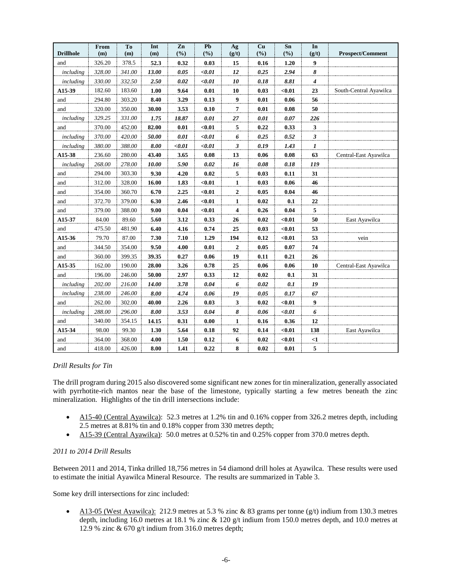| <b>Drillhole</b> | From<br>(m) | T <sub>0</sub><br>(m) | Int<br>(m) | Zn<br>(%) | Pb<br>(%) | Ag<br>(g/t)  | Cu<br>$(\%)$ | Sn<br>(%) | In<br>(g/t)    | <b>Prospect/Comment</b> |
|------------------|-------------|-----------------------|------------|-----------|-----------|--------------|--------------|-----------|----------------|-------------------------|
| and              | 326.20      | 378.5                 | 52.3       | 0.32      | 0.03      | 15           | 0.16         | 1.20      | 9              |                         |
| including        | 328.00      | 341.00                | 13.00      | 0.05      | $0.01$    | 12           | 0.25         | 2.94      | 8              |                         |
| including        | 330.00      | 332.50                | 2.50       | 0.02      | $0.01$    | 10           | 0.18         | 8.81      | 4              |                         |
| A15-39           | 182.60      | 183.60                | 1.00       | 9.64      | 0.01      | 10           | 0.03         | $0.01$    | 23             | South-Central Ayawilca  |
| and              | 294.80      | 303.20                | 8.40       | 3.29      | 0.13      | 9            | 0.01         | 0.06      | 56             |                         |
| and              | 320.00      | 350.00                | 30.00      | 3.53      | 0.10      | 7            | 0.01         | 0.08      | 50             |                         |
| including        | 329.25      | 331.00                | 1.75       | 18.87     | 0.01      | 27           | 0.01         | 0.07      | 226            |                         |
| and              | 370.00      | 452.00                | 82.00      | 0.01      | < 0.01    | 5            | 0.22         | 0.33      | 3              |                         |
| including        | 370.00      | 420.00                | 50.00      | 0.01      | $0.01$    | 6            | 0.25         | 0.52      | $\mathfrak{z}$ |                         |
| including        | 380.00      | 388.00                | 8.00       | $0.01$    | $0.01$    | 3            | 0.19         | 1.43      | 1              |                         |
| A15-38           | 236.60      | 280.00                | 43.40      | 3.65      | 0.08      | 13           | 0.06         | 0.08      | 63             | Central-East Ayawilca   |
| including        | 268.00      | 278.00                | 10.00      | 5.90      | 0.02      | 16           | 0.08         | 0.18      | 119            |                         |
| and              | 294.00      | 303.30                | 9.30       | 4.20      | 0.02      | 5            | 0.03         | 0.11      | 31             |                         |
| and              | 312.00      | 328.00                | 16.00      | 1.83      | $0.01$    | 1            | 0.03         | 0.06      | 46             |                         |
| and              | 354.00      | 360.70                | 6.70       | 2.25      | $0.01$    | 2            | 0.05         | 0.04      | 46             |                         |
| and              | 372.70      | 379.00                | 6.30       | 2.46      | $0.01$    | $\mathbf{1}$ | 0.02         | 0.1       | 22             |                         |
| and              | 379.00      | 388.00                | 9.00       | 0.04      | $0.01$    | 4            | 0.26         | 0.04      | 5              |                         |
| A15-37           | 84.00       | 89.60                 | 5.60       | 3.12      | 0.33      | 26           | 0.02         | $0.01$    | 50             | East Ayawilca           |
| and              | 475.50      | 481.90                | 6.40       | 4.16      | 0.74      | 25           | 0.03         | $0.01$    | 53             |                         |
| A15-36           | 79.70       | 87.00                 | 7.30       | 7.10      | 1.29      | 194          | 0.12         | $0.01$    | 53             | vein                    |
| and              | 344.50      | 354.00                | 9.50       | 4.00      | 0.01      | 2            | 0.05         | 0.07      | 74             |                         |
| and              | 360.00      | 399.35                | 39.35      | 0.27      | 0.06      | 19           | 0.11         | 0.21      | 26             |                         |
| A15-35           | 162.00      | 190.00                | 28.00      | 3.26      | 0.78      | 25           | 0.06         | 0.06      | 10             | Central-East Ayawilca   |
| and              | 196.00      | 246.00                | 50.00      | 2.97      | 0.33      | 12           | 0.02         | 0.1       | 31             |                         |
| including        | 202.00      | 216.00                | 14.00      | 3.78      | 0.04      | 6            | 0.02         | 0.1       | 19             |                         |
| including        | 238.00      | 246.00                | 8.00       | 4.74      | 0.06      | 19           | 0.05         | 0.17      | 67             |                         |
| and              | 262.00      | 302.00                | 40.00      | 2.26      | 0.03      | 3            | 0.02         | $0.01$    | 9              |                         |
| including        | 288.00      | 296.00                | 8.00       | 3.53      | 0.04      | 8            | 0.06         | $0.01$    | 6              |                         |
| and              | 340.00      | 354.15                | 14.15      | 0.31      | 0.00      | 1            | 0.16         | 0.36      | 12             |                         |
| A15-34           | 98.00       | 99.30                 | 1.30       | 5.64      | 0.18      | 92           | 0.14         | $0.01$    | 138            | East Ayawilca           |
| and              | 364.00      | 368.00                | 4.00       | 1.50      | 0.12      | 6            | 0.02         | $0.01$    | $<$ 1          |                         |
| and              | 418.00      | 426.00                | 8.00       | 1.41      | 0.22      | 8            | 0.02         | 0.01      | 5              |                         |

# *Drill Results for Tin*

The drill program during 2015 also discovered some significant new zones for tin mineralization, generally associated with pyrrhotite-rich mantos near the base of the limestone, typically starting a few metres beneath the zinc mineralization. Highlights of the tin drill intersections include:

- A15-40 (Central Ayawilca): 52.3 metres at 1.2% tin and 0.16% copper from 326.2 metres depth, including 2.5 metres at 8.81% tin and 0.18% copper from 330 metres depth;
- A15-39 (Central Ayawilca): 50.0 metres at 0.52% tin and 0.25% copper from 370.0 metres depth.

# *2011 to 2014 Drill Results*

Between 2011 and 2014, Tinka drilled 18,756 metres in 54 diamond drill holes at Ayawilca. These results were used to estimate the initial Ayawilca Mineral Resource. The results are summarized in Table 3.

Some key drill intersections for zinc included:

• A13-05 (West Ayawilca): 212.9 metres at 5.3 % zinc & 83 grams per tonne  $(g/t)$  indium from 130.3 metres depth, including 16.0 metres at 18.1 % zinc & 120 g/t indium from 150.0 metres depth, and 10.0 metres at 12.9 % zinc & 670 g/t indium from 316.0 metres depth;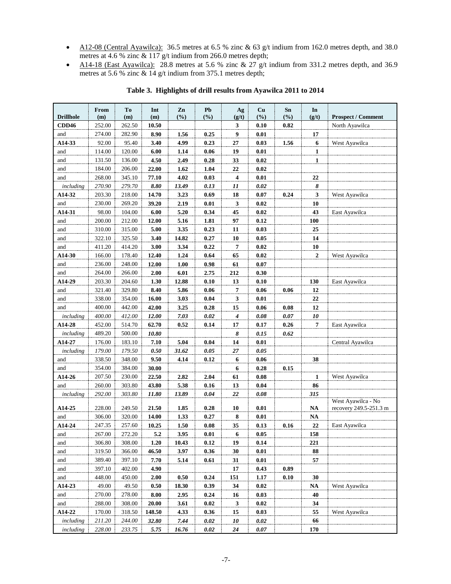- A12-08 (Central Ayawilca): 36.5 metres at 6.5 % zinc & 63 g/t indium from 162.0 metres depth, and 38.0 metres at 4.6 % zinc & 117 g/t indium from 266.0 metres depth;
- A14-18 (East Ayawilca): 28.8 metres at 5.6 % zinc & 27 g/t indium from 331.2 metres depth, and 36.9 metres at 5.6 % zinc & 14 g/t indium from 375.1 metres depth;

|                     | From             | Tо               | Int          | Zn           | Pb   | Ag                      | Cu                  | Sn   | In               |                           |
|---------------------|------------------|------------------|--------------|--------------|------|-------------------------|---------------------|------|------------------|---------------------------|
| <b>Drillhole</b>    | (m)              | (m)<br>262.50    | (m)          | (%)          | (%)  | (g/t)                   | (%)                 | (%)  | (g/t)            | <b>Prospect / Comment</b> |
| <b>CDD46</b>        | 252.00           |                  | 10.50        |              |      | 3                       | 0.10                | 0.82 |                  | North Ayawilca            |
| and                 | 274.00<br>92.00  | 282.90           | 8.90<br>3.40 | 1.56<br>4.99 | 0.25 | 9                       | 0.01                |      | 17               |                           |
| A14-33              |                  | 95.40            |              |              | 0.23 | 27                      | 0.03                | 1.56 | 6                | West Ayawilca             |
| and                 | 114.00           | 120.00           | 6.00         | 1.14         | 0.06 | 19                      | 0.01                |      | $\mathbf{1}$     |                           |
| and                 | 131.50           | 136.00           | 4.50         | 2.49         | 0.28 | 33                      | 0.02                |      | 1                |                           |
| and                 | 184.00<br>268.00 | 206.00<br>345.10 | 22.00        | 1.62         | 1.04 | 22                      | 0.02                |      |                  |                           |
| and                 |                  |                  | 77.10        | 4.02         | 0.03 | 4                       | 0.01                |      | 22               |                           |
| including<br>A14-32 | 270.90           | 279.70           | 8.80         | 13.49        | 0.13 | 11                      | 0.02                |      | $\boldsymbol{8}$ |                           |
|                     | 203.30           | 218.00           | 14.70        | 3.23         | 0.69 | 18                      | 0.07                | 0.24 | 3                | West Ayawilca             |
| and                 | 230.00           | 269.20           | 39.20        | 2.19         | 0.01 | 3                       | 0.02                |      | 10               |                           |
| A14-31              | 98.00            | 104.00           | 6.00         | 5.20         | 0.34 | 45                      | 0.02                |      | 43               | East Ayawilca             |
| and                 | 200.00           | 212.00           | 12.00        | 5.16         | 1.81 | 97                      | 0.12                |      | 100              |                           |
| and                 | 310.00           | 315.00           | 5.00         | 3.35         | 0.23 | 11                      | 0.03                |      | 25               |                           |
| and                 | 322.10           | 325.50           | 3.40         | 14.82        | 0.27 | 10                      | 0.05                |      | 14               |                           |
| and                 | 411.20           | 414.20           | 3.00         | 3.34         | 0.22 | 7                       | 0.02                |      | 10               |                           |
| A14-30              | 166.00           | 178.40           | 12.40        | 1.24         | 0.64 | 65                      | 0.02                |      | $\mathbf{2}$     | West Ayawilca             |
| and                 | 236.00           | 248.00           | 12.00        | 1.00         | 0.98 | 61                      | 0.07                |      |                  |                           |
| and                 | 264.00           | 266.00           | 2.00         | 6.01         | 2.75 | 212                     | 0.30                |      |                  |                           |
| A14-29              | 203.30           | 204.60           | 1.30         | 12.88        | 0.10 | 13                      | 0.10                |      | 130              | East Ayawilca             |
| and                 | 321.40           | 329.80           | 8.40         | 5.86         | 0.06 | 7                       | 0.06                | 0.06 | 12               |                           |
| and                 | 338.00           | 354.00           | 16.00        | 3.03         | 0.04 | 3                       | 0.01                |      | 22               |                           |
| and                 | 400.00           | 442.00           | 42.00        | 3.25         | 0.28 | 15                      | 0.06                | 0.08 | 12               |                           |
| including           | 400.00           | 412.00           | 12.00        | 7.03         | 0.02 | 4                       | 0.08                | 0.07 | 10               |                           |
| A14-28              | 452.00           | 514.70           | 62.70        | 0.52         | 0.14 | 17                      | 0.17                | 0.26 | 7                | East Ayawilca             |
| including           | 489.20           | 500.00           | 10.80        |              |      | 8                       | 0.15                | 0.62 |                  |                           |
| A14-27              | 176.00           | 183.10           | 7.10         | 5.04         | 0.04 | 14                      | 0.01                |      |                  | Central Ayawilca          |
| including           | 179.00           | 179.50           | 0.50         | 31.62        | 0.05 | 27                      | 0.05                |      |                  |                           |
| and                 | 338.50           | 348.00           | 9.50         | 4.14         | 0.12 | 6                       | 0.06                |      | 38               |                           |
| and                 | 354.00           | 384.00           | 30.00        |              |      | 6                       | 0.28                | 0.15 |                  |                           |
| A14-26              | 207.50           | 230.00           | 22.50        | 2.82         | 2.04 | 61                      | 0.08                |      | 1                | West Ayawilca             |
| and                 | 260.00           | 303.80           | 43.80        | 5.38         | 0.16 | 13                      | 0.04                |      | 86               |                           |
| including           | 292.00           | 303.80           | 11.80        | 13.89        | 0.04 | 22                      | 0.08                |      | 315              |                           |
|                     |                  |                  |              |              |      |                         |                     |      |                  | West Ayawilca - No        |
| A14-25              | 228.00           | 249.50           | 21.50        | 1.85         | 0.28 | 10                      | 0.01                |      | <b>NA</b>        | recovery 249.5-251.3 m    |
| and                 | 306.00           | 320.00           | 14.00        | 1.33         | 0.27 | 8                       | 0.01                |      | <b>NA</b>        |                           |
| A14-24              | 247.35           | 257.60           | 10.25        | 1.50         | 0.08 | 35                      | 0.13                | 0.16 | 22               | East Ayawilca             |
| and                 | 267.00           | 272.20           | 5.2          | 3.95         | 0.01 | $\overline{\mathbf{6}}$ | 0.05                |      | 158              |                           |
| and                 | 306.80           | 308.00           | 1.20         | 10.43        | 0.12 | 19                      | 0.14                |      | 221              |                           |
| and                 | 319.50           | 366.00           | 46.50        | 3.97         | 0.36 | 30                      | 0.01                |      | 88               |                           |
| and                 | 389.40           | 397.10           | 7.70         | 5.14         | 0.61 | 31                      | $\boldsymbol{0.01}$ |      | 57               |                           |
| and                 | 397.10           | 402.00           | 4.90         |              |      | 17                      | 0.43                | 0.89 |                  |                           |
| and                 | 448.00           | 450.00           | 2.00         | 0.50         | 0.24 | 151                     | 1.17                | 0.10 | 30               |                           |
| A <sub>14</sub> -23 | 49.00            | 49.50            | 0.50         | 18.30        | 0.39 | 34                      | 0.02                |      | <b>NA</b>        | West Ayawilca             |
| and                 | 270.00           | 278.00           | 8.00         | 2.95         | 0.24 | 16                      | 0.03                |      | 40               |                           |
| and                 | 288.00           | 308.00           | 20.00        | 3.61         | 0.02 | $\mathbf{3}$            | 0.02                |      | 34               |                           |
| A14-22              | 170.00           | 318.50           | 148.50       | 4.33         | 0.36 | 15                      | 0.03                |      | 55               | West Ayawilca             |
| including           | 211.20           | 244.00           | 32.80        | 7.44         | 0.02 | 10                      | 0.02                |      | 66               |                           |
| including           | 228.00           | 233.75           | 5.75         | 16.76        | 0.02 | 24                      | 0.07                |      | 170              |                           |

**Table 3. Highlights of drill results from Ayawilca 2011 to 2014**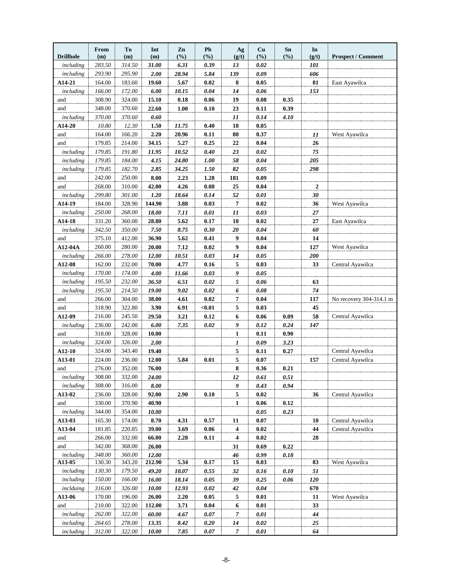| <b>Drillhole</b>    | <b>From</b><br>(m) | Tо<br>(m)        | Int<br>(m)     | Zn<br>(%) | Pb<br>(%) | Ag<br>(g/t)             | Cu<br>(%)           | Sn<br>(%) | In<br>(g/t)     | <b>Prospect / Comment</b> |
|---------------------|--------------------|------------------|----------------|-----------|-----------|-------------------------|---------------------|-----------|-----------------|---------------------------|
| including           | 283.50             | 314.50           | 31.00          | 6.31      | 0.39      | 13                      | 0.02                |           | 101             |                           |
| including           | 293.90             | 295.90           | 2.00           | 28.94     | 5.84      | 139                     | 0.09                |           | 606             |                           |
| A14-21              | 164.00             | 183.60           | 19.60          | 5.67      | 0.02      | 8                       | 0.05                |           | 81              | East Ayawilca             |
| including           | 166.00             | 172.00           | 6.00           | 10.15     | 0.04      | 14                      | 0.06                |           | 153             |                           |
| and                 | 308.90             | 324.00           | 15.10          | 0.18      | 0.06      | 19                      | $\boldsymbol{0.08}$ | 0.35      |                 |                           |
| and                 | 348.00             | 370.60           | 22.60          | 1.00      | 0.10      | 23                      | 0.11                | 0.39      |                 |                           |
| including           | 370.00             | 370.60           | 0.60           |           |           | 11                      | 0.14                | 4.10      |                 |                           |
| A14-20              | 10.80              | 12.30            | 1.50           | 11.75     | 0.40      | 18                      | 0.05                |           |                 |                           |
| and                 | 164.00             | 166.20           | 2.20           | 20.96     | 0.11      | 80                      | 0.37                |           | 11              | West Ayawilca             |
| and                 | 179.85             | 214.00           | 34.15          | 5.27      | 0.25      | 22                      | 0.04                |           | 26              |                           |
| including           | 179.85             | 191.80           | 11.95          | 10.52     | 0.40      | 23                      | 0.02                |           | 75              |                           |
| including           | 179.85             | 184.00           | 4.15           | 24.80     | 1.00      | 58                      | 0.04                |           | 205             |                           |
| including           | 179.85             | 182.70           | 2.85           | 34.25     | 1.50      | 82                      | 0.05                |           | 298             |                           |
| and                 | 242.00             | 250.00           | 8.00           | 2.23      | 1.28      | 181                     | 0.09                |           |                 |                           |
| and                 | 268.00             | 310.00           | 42.00          | 4.26      | 0.08      | 25                      | 0.04                |           | $\overline{2}$  |                           |
| including           | 299.80             | 301.00           | 1.20           | 18.64     | 0.14      | 52                      | 0.01                |           | 30              |                           |
| A14-19              | 184.00             | 328.90           | 144.90         | 3.88      | 0.03      | 7                       | 0.02                |           | 36              | West Ayawilca             |
| including           | 250.00             | 268.00           | 18.00          | 7.11      | 0.01      | 11                      | 0.03                |           | 27              |                           |
| A14-18              | 331.20             | 360.00           | 28.80          | 5.62      | 0.17      | 10                      | 0.02                |           | 27              | East Ayawilca             |
| including           | 342.50             | 350.00           | 7.50           | 8.75      | 0.30      | 20                      | 0.04                |           | 60              |                           |
| and                 | 375.10             | 412.00           | 36.90          | 5.62      | 0.41      | 9                       | 0.04                |           | 14              |                           |
| A12-04A             | 260.00             | 280.00           | 20.00          | 7.12      | 0.02      | 9                       | 0.04                |           | 127             | West Ayawilca             |
| including           | 266.00             | 278.00           | 12.00          | 10.51     | 0.03      | 14                      | 0.05                |           | 200             |                           |
| A12-08              | 162.00             | 232.00           | 70.00          | 4.77      | 0.16      | 5                       | 0.03                |           | 33              | Central Ayawilca          |
| including           | 170.00             | 174.00           | 4.00           | 11.66     | 0.03      | 9                       | 0.05                |           |                 |                           |
| including           | 195.50             | 232.00           | 36.50          | 6.51      | 0.02      | 5                       | 0.06                |           | 63              |                           |
| including           | 195.50             | 214.50           | 19.00          | 9.02      | 0.02      | 6                       | 0.08                |           | 74              |                           |
| and                 | 266.00             | 304.00           | 38.00          | 4.61      | 0.02      | 7                       | 0.04                |           | 117             | No recovery 304-314.1 m   |
| $\quad$ and         | 318.90             | 322.80           | 3.90           | 6.91      | $0.01$    | 5                       | 0.03                |           | 45              |                           |
| A12-09              | 216.00             | 245.50           | 29.50          | 3.21      | 0.12      | 6                       | 0.06                | 0.09      | 58              | Central Ayawilca          |
| including           | 236.00             | 242.00           | 6.00           | 7.35      | 0.02      | 9                       | 0.12                | 0.24      | 147             |                           |
| and                 | 318.00             | 328.00           | 10.00          |           |           | $\mathbf{1}$            | 0.11                | 0.90      |                 |                           |
| including           | 324.00             | 326.00           | 2.00           |           |           | 1                       | 0.09                | 3.23      |                 |                           |
| A12-10              | 324.00             | 343.40           | 19.40          |           |           | 5                       | 0.11                | 0.27      |                 | Central Ayawilca          |
| A13-01              | 224.00             | 236.00           | 12.00          | 5.84      | 0.01      | 5                       | 0.07                |           | 157             | Central Ayawilca          |
| and                 | 276.00             | 352.00           | 76.00          |           |           | 8                       | 0.36                | 0.21      |                 |                           |
| including           | 308.00             | 332.00           | 24.00          |           |           | 12                      | 0.61                | 0.51      |                 |                           |
| including<br>A13-02 | 308.00             | 316.00           | 8.00           | 2.90      | 0.10      | 9                       | 0.43                | 0.94      |                 |                           |
|                     | 236.00             | 328.00           | 92.00          |           |           | $\sqrt{5}$              | $0.02\,$            | 0.12      | 36              | Central Ayawilca          |
| and<br>including    | 330.00<br>344.00   | 370.90<br>354.00 | 40.90<br>10.00 |           |           | $\mathbf{1}$            | 0.06<br>0.05        | 0.23      |                 |                           |
| A13-03              | 165.30             | 174.00           | 8.70           | 4.31      | 0.57      | 11                      | 0.07                |           | 10              | Central Ayawilca          |
| A13-04              | 181.85             | 220.85           | 39.00          | 3.69      | 0.06      | 4                       | 0.02                |           | 44              | Central Ayawilca          |
| and                 | 266.00             | 332.00           | 66.00          | 2.28      | 0.11      | $\overline{\mathbf{4}}$ | 0.02                |           | 28              |                           |
| and                 | 342.00             | 368.00           | 26.00          |           |           | 31                      | 0.69                | 0.22      |                 |                           |
| including           | 348.00             | 360.00           | 12.00          |           |           | 46                      | 0.99                | 0.18      |                 |                           |
| A13-05              | 130.30             | 343.20           | 212.90         | 5.34      | 0.17      | 15                      | $0.03\,$            |           | 83              | West Ayawilca             |
| including           | 130.30             | 179.50           | 49.20          | 10.07     | 0.55      | 32                      | 0.16                | 0.10      | $5\mathfrak{l}$ |                           |
| including           | 150.00             | 166.00           | 16.00          | 18.14     | 0.05      | 39                      | 0.25                | 0.06      | 120             |                           |
| inclduing           | 316.00             | 326.00           | 10.00          | 12.93     | 0.02      | 42                      | 0.04                |           | 670             |                           |
| A13-06              | 170.00             | 196.00           | 26.00          | 2.20      | 0.05      | 5                       | 0.01                |           | 11              | West Ayawilca             |
| and                 | 210.00             | 322.00           | 112.00         | 3.71      | 0.04      | 6                       | 0.01                |           | 33              |                           |
| including           | 262.00             | 322.00           | 60.00          | 4.67      | 0.07      | 7                       | 0.01                |           | 44              |                           |
| including           | 264.65             | 278.00           | 13.35          | 8.42      | 0.20      | 14                      | $0.02\,$            |           | $25\,$          |                           |
| including           | 312.00             | 322.00           | 10.00          | 7.85      | 0.07      | 7                       | 0.01                |           | 64              |                           |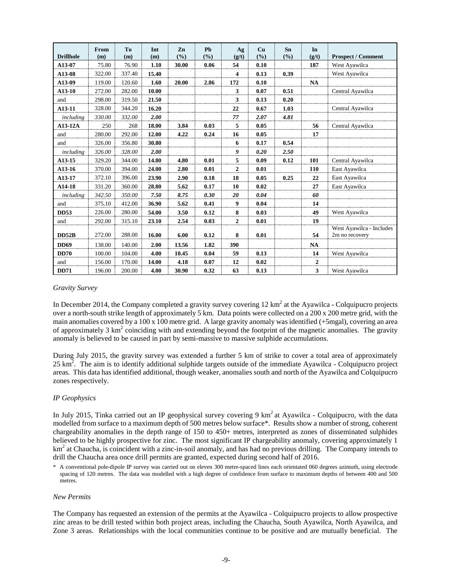| <b>Drillhole</b>    | From<br>(m) | To<br>(m) | Int<br>(m) | Zn<br>(%) | Pb<br>(%) | Ag<br>(g/t)    | Cu<br>(%) | <b>Sn</b><br>(%) | In<br>(g/t)    | <b>Prospect / Comment</b> |
|---------------------|-------------|-----------|------------|-----------|-----------|----------------|-----------|------------------|----------------|---------------------------|
| A13-07              | 75.80       | 76.90     | 1.10       | 30.00     | 0.06      | 54             | 0.10      |                  | 187            | West Ayawilca             |
| A13-08              | 322.00      | 337.40    | 15.40      |           |           | 4              | 0.13      | 0.39             |                | West Ayawilca             |
| A13-09              | 119.00      | 120.60    | 1.60       | 20.00     | 2.86      | 172            | 0.10      |                  | <b>NA</b>      |                           |
| A13-10              | 272.00      | 282.00    | 10.00      |           |           | 3              | 0.07      | 0.51             |                | Central Ayawilca          |
| and                 | 298.00      | 319.50    | 21.50      |           |           | 3              | 0.13      | 0.20             |                |                           |
| A <sub>13</sub> -11 | 328.00      | 344.20    | 16.20      |           |           | 22             | 0.67      | 1.03             |                | Central Ayawilca          |
| including           | 330.00      | 332.00    | 2.00       |           |           | 77             | 2.07      | 4.81             |                |                           |
| A13-12A             | 250         | 268       | 18.00      | 3.84      | 0.03      | 5              | 0.05      |                  | 56             | Central Ayawilca          |
| and                 | 280.00      | 292.00    | 12.00      | 4.22      | 0.24      | 16             | 0.05      |                  | 17             |                           |
| and                 | 326.00      | 356.80    | 30.80      |           |           | 6              | 0.17      | 0.54             |                |                           |
| including           | 326.00      | 328.00    | 2.00       |           |           | 9              | 0.20      | 2.50             |                |                           |
| A <sub>13</sub> -15 | 329.20      | 344.00    | 14.80      | 4.80      | 0.01      | 5              | 0.09      | 0.12             | 101            | Central Ayawilca          |
| A13-16              | 370.00      | 394.00    | 24.00      | 2.80      | 0.01      | $\mathbf{2}$   | 0.01      |                  | 110            | East Ayawilca             |
| A13-17              | 372.10      | 396.00    | 23.90      | 2.90      | 0.18      | 18             | 0.05      | 0.25             | 22             | East Ayawilca             |
| A14-18              | 331.20      | 360.00    | 28.80      | 5.62      | 0.17      | 10             | 0.02      |                  | 27             | East Ayawilca             |
| including           | 342.50      | 350.00    | 7.50       | 8.75      | 0.30      | 20             | 0.04      |                  | 60             |                           |
| and                 | 375.10      | 412.00    | 36.90      | 5.62      | 0.41      | 9              | 0.04      |                  | 14             |                           |
| <b>DD53</b>         | 226.00      | 280.00    | 54.00      | 3.50      | 0.12      | 8              | 0.03      |                  | 49             | West Ayawilca             |
| and                 | 292.00      | 315.10    | 23.10      | 2.54      | 0.03      | $\overline{2}$ | 0.01      |                  | 19             |                           |
|                     |             |           |            |           |           |                |           |                  |                | West Ayawilca - Includes  |
| DD52B               | 272.00      | 288.00    | 16.00      | 6.00      | 0.12      | 8              | 0.01      |                  | 54             | 2m no recovery            |
| <b>DD69</b>         | 138.00      | 140.00    | 2.00       | 13.56     | 1.82      | 390            |           |                  | <b>NA</b>      |                           |
| <b>DD70</b>         | 100.00      | 104.00    | 4.00       | 10.45     | 0.04      | 59             | 0.13      |                  | 14             | West Ayawilca             |
| and                 | 156.00      | 170.00    | 14.00      | 4.18      | 0.07      | 12             | 0.02      |                  | $\overline{2}$ |                           |
| <b>DD71</b>         | 196.00      | 200.00    | 4.00       | 30.90     | 0.32      | 63             | 0.13      |                  | 3              | West Ayawilca             |

#### *Gravity Survey*

In December 2014, the Company completed a gravity survey covering 12 km<sup>2</sup> at the Ayawilca - Colquipucro projects over a north-south strike length of approximately 5 km. Data points were collected on a 200 x 200 metre grid, with the main anomalies covered by a 100 x 100 metre grid. A large gravity anomaly was identified (+5mgal), covering an area of approximately  $3 \text{ km}^2$  coinciding with and extending beyond the footprint of the magnetic anomalies. The gravity anomaly is believed to be caused in part by semi-massive to massive sulphide accumulations.

During July 2015, the gravity survey was extended a further 5 km of strike to cover a total area of approximately 25 km<sup>2</sup>. The aim is to identify additional sulphide targets outside of the immediate Ayawilca - Colquipucro project areas. This data has identified additional, though weaker, anomalies south and north of the Ayawilca and Colquipucro zones respectively.

### *IP Geophysics*

In July 2015, Tinka carried out an IP geophysical survey covering 9  $km<sup>2</sup>$  at Ayawilca - Colquipucro, with the data modelled from surface to a maximum depth of 500 metres below surface\*. Results show a number of strong, coherent chargeability anomalies in the depth range of 150 to 450+ metres, interpreted as zones of disseminated sulphides believed to be highly prospective for zinc. The most significant IP chargeability anomaly, covering approximately 1  $km<sup>2</sup>$  at Chaucha, is coincident with a zinc-in-soil anomaly, and has had no previous drilling. The Company intends to drill the Chaucha area once drill permits are granted, expected during second half of 2016.

\* A conventional pole-dipole IP survey was carried out on eleven 300 metre-spaced lines each orientated 060 degrees azimuth, using electrode spacing of 120 metres. The data was modelled with a high degree of confidence from surface to maximum depths of between 400 and 500 metres.

#### *New Permits*

The Company has requested an extension of the permits at the Ayawilca - Colquipucro projects to allow prospective zinc areas to be drill tested within both project areas, including the Chaucha, South Ayawilca, North Ayawilca, and Zone 3 areas. Relationships with the local communities continue to be positive and are mutually beneficial. The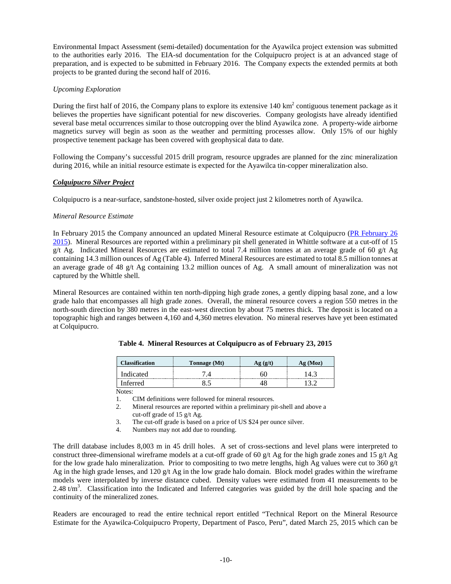Environmental Impact Assessment (semi-detailed) documentation for the Ayawilca project extension was submitted to the authorities early 2016. The EIA-sd documentation for the Colquipucro project is at an advanced stage of preparation, and is expected to be submitted in February 2016. The Company expects the extended permits at both projects to be granted during the second half of 2016.

### *Upcoming Exploration*

During the first half of 2016, the Company plans to explore its extensive 140 km<sup>2</sup> contiguous tenement package as it believes the properties have significant potential for new discoveries. Company geologists have already identified several base metal occurrences similar to those outcropping over the blind Ayawilca zone. A property-wide airborne magnetics survey will begin as soon as the weather and permitting processes allow. Only 15% of our highly prospective tenement package has been covered with geophysical data to date.

Following the Company's successful 2015 drill program, resource upgrades are planned for the zinc mineralization during 2016, while an initial resource estimate is expected for the Ayawilca tin-copper mineralization also.

### *Colquipucro Silver Project*

Colquipucro is a near-surface, sandstone-hosted, silver oxide project just 2 kilometres north of Ayawilca.

### *Mineral Resource Estimate*

In February 2015 the Company announced an updated Mineral Resource estimate at Colquipucro [\(PR February 26](http://www.tinkaresources.com/s/NewsReleases.asp?ReportID=697874&_Type=News&_Title=Tinka-Announces-Initial-Inferred-Zinc-Resource-of-13.3-Million-Tonnes-Gradi...)  [2015\)](http://www.tinkaresources.com/s/NewsReleases.asp?ReportID=697874&_Type=News&_Title=Tinka-Announces-Initial-Inferred-Zinc-Resource-of-13.3-Million-Tonnes-Gradi...). Mineral Resources are reported within a preliminary pit shell generated in Whittle software at a cut-off of 15 g/t Ag. Indicated Mineral Resources are estimated to total 7.4 million tonnes at an average grade of 60 g/t Ag containing 14.3 million ounces of Ag (Table 4). Inferred Mineral Resources are estimated to total 8.5 million tonnes at an average grade of 48 g/t Ag containing 13.2 million ounces of Ag. A small amount of mineralization was not captured by the Whittle shell.

Mineral Resources are contained within ten north-dipping high grade zones, a gently dipping basal zone, and a low grade halo that encompasses all high grade zones. Overall, the mineral resource covers a region 550 metres in the north-south direction by 380 metres in the east-west direction by about 75 metres thick. The deposit is located on a topographic high and ranges between 4,160 and 4,360 metres elevation. No mineral reserves have yet been estimated at Colquipucro.

| Classification | Tonnage (Mt) | Ag(Moz) |
|----------------|--------------|---------|
| Indicated      |              |         |
| Inferred       |              |         |

|  |  |  |  |  | Table 4. Mineral Resources at Colquipucro as of February 23, 2015 |
|--|--|--|--|--|-------------------------------------------------------------------|
|--|--|--|--|--|-------------------------------------------------------------------|

Notes:

1. CIM definitions were followed for mineral resources.

- 2. Mineral resources are reported within a preliminary pit-shell and above a cut-off grade of 15 g/t Ag.
- 3. The cut-off grade is based on a price of US \$24 per ounce silver.
- 4. Numbers may not add due to rounding.

The drill database includes 8,003 m in 45 drill holes. A set of cross-sections and level plans were interpreted to construct three-dimensional wireframe models at a cut-off grade of 60  $g/t$  Ag for the high grade zones and 15  $g/t$  Ag for the low grade halo mineralization. Prior to compositing to two metre lengths, high Ag values were cut to  $360 \text{ g/t}$ Ag in the high grade lenses, and 120 g/t Ag in the low grade halo domain. Block model grades within the wireframe models were interpolated by inverse distance cubed. Density values were estimated from 41 measurements to be 2.48  $t/m<sup>3</sup>$ . Classification into the Indicated and Inferred categories was guided by the drill hole spacing and the continuity of the mineralized zones.

Readers are encouraged to read the entire technical report entitled "Technical Report on the Mineral Resource Estimate for the Ayawilca-Colquipucro Property, Department of Pasco, Peru", dated March 25, 2015 which can be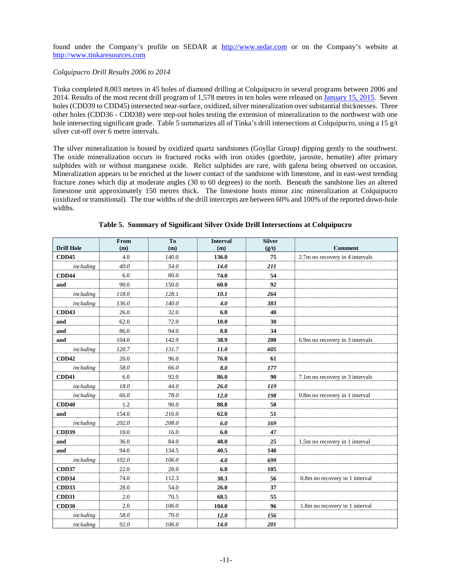found under the Company's profile on SEDAR at [http://www.sedar.com](http://www.sedar.com/) or on the Company's website at [http://www.tinkaresources.com](http://www.tinkaresources.com/)

### *Colquipucro Drill Results 2006 to 2014*

Tinka completed 8,003 metres in 45 holes of diamond drilling at Colquipucro in several programs between 2006 and 2014. Results of the most recent drill program of 1,578 metres in ten holes were released on [January 15, 2015.](http://www.tinkaresources.com/s/NewsReleases.asp?ReportID=691218&_Type=News&_Title=Tinka-Announces-Results-Of-1600-Metre-Ten-Hole-Drill-Program-At-Colquipucro...) Seven holes (CDD39 to CDD45) intersected near-surface, oxidized, silver mineralization over substantial thicknesses. Three other holes (CDD36 - CDD38) were step-out holes testing the extension of mineralization to the northwest with one hole intersecting significant grade. Table 5 summarizes all of Tinka's drill intersections at Colquipucro, using a 15 g/t silver cut-off over 6 metre intervals.

The silver mineralization is hosted by oxidized quartz sandstones (Goyllar Group) dipping gently to the southwest. The oxide mineralization occurs in fractured rocks with iron oxides (goethite, jarosite, hematite) after primary sulphides with or without manganese oxide. Relict sulphides are rare, with galena being observed on occasion. Mineralization appears to be enriched at the lower contact of the sandstone with limestone, and in east-west trending fracture zones which dip at moderate angles (30 to 60 degrees) to the north. Beneath the sandstone lies an altered limestone unit approximately 150 metres thick. The limestone hosts minor zinc mineralization at Colquipucro (oxidized or transitional). The true widths of the drill intercepts are between 60% and 100% of the reported down-hole widths.

| <b>Drill Hole</b> | From<br>(m) | T <sub>0</sub><br>(m) | <b>Interval</b><br>(m) | <b>Silver</b><br>(g/t) | <b>Comment</b>                  |
|-------------------|-------------|-----------------------|------------------------|------------------------|---------------------------------|
|                   | 4.0         | 140.0                 | 136.0                  | 75                     |                                 |
| <b>CDD45</b>      |             |                       |                        |                        | 2.7m no recovery in 4 intervals |
| including         | 40.0        | 54.0                  | <b>14.0</b>            | 211                    |                                 |
| <b>CDD44</b>      | 6.0         | 80.0                  | 74.0                   | 54                     |                                 |
| and               | 90.0        | 150.0                 | 60.0                   | 92                     |                                 |
| including         | 118.0       | 128.1                 | 10.1                   | 264                    |                                 |
| including         | 136.0       | 140.0                 | 4.0                    | 383                    |                                 |
| CDD43             | 26.0        | 32.0                  | 6.0                    | 40                     |                                 |
| and               | 62.0        | 72.0                  | 10.0                   | 30                     |                                 |
| and               | 86.0        | 94.0                  | 8.0                    | 34                     |                                 |
| and               | 104.0       | 142.9                 | 38.9                   | 200                    | 6.9m no recovery in 3 intervals |
| including         | 120.7       | 131.7                 | 11.0                   | 605                    |                                 |
| <b>CDD42</b>      | 20.0        | 96.0                  | 76.0                   | 61                     |                                 |
| including         | 58.0        | 66.0                  | 8.0                    | 177                    |                                 |
| <b>CDD41</b>      | 6.0         | 92.0                  | 86.0                   | 90                     | 7.1m no recovery in 3 intervals |
| including         | 18.0        | 44.0                  | 26.0                   | 119                    |                                 |
| including         | 66.0        | 78.0                  | 12.0                   | 198                    | 0.8m no recovery in 1 interval  |
| CDD40             | 1.2         | 90.0                  | 88.8                   | 50                     |                                 |
| and               | 154.0       | 216.0                 | 62.0                   | 51                     |                                 |
| including         | 202.0       | 208.0                 | 6.0                    | 169                    |                                 |
| <b>CDD39</b>      | 10.0        | 16.0                  | 6.0                    | 47                     |                                 |
| and               | 36.0        | 84.0                  | 48.0                   | 25                     | 1.5m no recovery in 1 interval  |
| and               | 94.0        | 134.5                 | 40.5                   | 140                    |                                 |
| including         | 102.0       | 106.0                 | 4.0                    | 699                    |                                 |
| CDD37             | 22.0        | 28.0                  | 6.0                    | 105                    |                                 |
| CDD34             | 74.0        | 112.3                 | 38.3                   | 56                     | 0.8m no recovery in 1 interval  |
| CDD33             | 28.0        | 54.0                  | 26.0                   | 37                     |                                 |
| <b>CDD31</b>      | 2.0         | 70.5                  | 68.5                   | 55                     |                                 |
| <b>CDD30</b>      | 2.0         | 106.0                 | 104.0                  | 96                     | 1.8m no recovery in 1 interval  |
| including         | 58.0        | 70.0                  | 12.0                   | 156                    |                                 |
| including         | 92.0        | 106.0                 | <b>14.0</b>            | 201                    |                                 |

**Table 5. Summary of Significant Silver Oxide Drill Intersections at Colquipucro**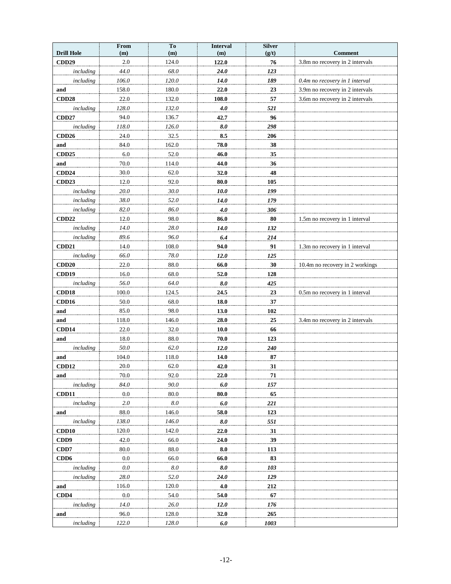|                                   | From             | To            | <b>Interval</b> | <b>Silver</b> |                                                   |
|-----------------------------------|------------------|---------------|-----------------|---------------|---------------------------------------------------|
| <b>Drill Hole</b><br><b>CDD29</b> | (m)<br>2.0       | (m)<br>124.0  | (m)<br>122.0    | (g/t)<br>76   | <b>Comment</b><br>3.8m no recovery in 2 intervals |
|                                   | 44.0             | 68.0          |                 |               |                                                   |
| including<br>including            | 106.0            | 120.0         | 24.0<br>14.0    | 123<br>189    | 0.4m no recovery in 1 interval                    |
| and                               | 158.0            | 180.0         | 22.0            | 23            | 3.9m no recovery in 2 intervals                   |
| CDD28                             | 22.0             | 132.0         | 108.0           | 57            | 3.6m no recovery in 2 intervals                   |
| including                         | 128.0            | 132.0         | 4.0             | 521           |                                                   |
| <b>CDD27</b>                      | 94.0             | 136.7         | 42.7            | 96            |                                                   |
| including                         | 118.0            | 126.0         | 8.0             | 298           |                                                   |
| CDD <sub>26</sub>                 | 24.0             | 32.5          | 8.5             | 206           |                                                   |
| and                               | 84.0             | 162.0         | 78.0            | 38            |                                                   |
| <b>CDD25</b>                      | 6.0              | 52.0          | 46.0            | 35            |                                                   |
| and                               | 70.0             | 114.0         | 44.0            | 36            |                                                   |
| <b>CDD24</b>                      | 30.0             | 62.0          | 32.0            | 48            |                                                   |
| <b>CDD23</b>                      | 12.0             | 92.0          | 80.0            | 105           |                                                   |
| including                         | 20.0             | 30.0          | 10.0            | 199           |                                                   |
| including                         | 38.0             | 52.0          | 14.0            | 179           |                                                   |
| including                         | 82.0             | 86.0          | 4.0             | 306           |                                                   |
| CDD <sub>22</sub>                 | 12.0             | 98.0          | 86.0            | 80            | 1.5m no recovery in 1 interval                    |
| including                         | 14.0             | 28.0          | 14.0            | 132           |                                                   |
| including                         | 89.6             | 96.0          | 6.4             | 214           |                                                   |
| CDD <sub>21</sub>                 | 14.0             | 108.0         | 94.0            | 91            | 1.3m no recovery in 1 interval                    |
| including                         | 66.0             | 78.0          | 12.0            | 125           |                                                   |
| CDD20                             | 22.0             | 88.0          | 66.0            | 30            | 10.4m no recovery in 2 workings                   |
| CDD19                             | 16.0             | 68.0          | 52.0            | 128           |                                                   |
| including                         | 56.0             | 64.0          | 8.0             | 425           |                                                   |
| CDD18                             | 100.0            | 124.5         | 24.5            | 23            | 0.5m no recovery in 1 interval                    |
| CDD16                             | 50.0             | 68.0          | 18.0            | 37            |                                                   |
| and                               | 85.0             | 98.0          | 13.0            | 102           |                                                   |
| $\mathbf{and}$                    | 118.0            | 146.0         | 28.0            | 25            | 3.4m no recovery in 2 intervals                   |
| CDD14                             | 22.0             | 32.0          | 10.0            | 66            |                                                   |
| and                               | 18.0             | 88.0          | 70.0            | 123           |                                                   |
| including                         | 50.0             | 62.0          | 12.0            | 240           |                                                   |
| and                               | 104.0            | 118.0         | 14.0            | 87            |                                                   |
| <b>CDD12</b>                      | 20.0             | 62.0          | 42.0            | 31            |                                                   |
| and                               | 70.0             | 92.0          | 22.0            | 71            |                                                   |
| including                         | 84.0             | 90.0          | 6.0             | 157           |                                                   |
| <b>CDD11</b>                      | 0.0              | 80.0          | 80.0            | 65            |                                                   |
| including                         | 2.0              | $8.0\,$       | $6.0$           | 221           |                                                   |
| and                               | 88.0             | 146.0         | 58.0            | 123           |                                                   |
| including                         | 138.0            | 146.0         | 8.0             | 551           |                                                   |
| CDD10                             | 120.0            | 142.0         | 22.0            | 31            |                                                   |
| CDD <sub>9</sub>                  | 42.0             | 66.0          | 24.0            | 39            |                                                   |
| CDD7                              | 80.0             | 88.0          | 8.0             | 113           |                                                   |
| CD <sub>D</sub> 6                 | $0.0\,$          | 66.0          | 66.0            | 83            |                                                   |
| including                         | 0.0              | 8.0           | 8.0             | 103           |                                                   |
| including                         | 28.0             | 52.0<br>120.0 | <b>24.0</b>     | 129           |                                                   |
| and<br>CDD4                       | 116.0<br>$0.0\,$ | 54.0          | 4.0<br>54.0     | 212<br>67     |                                                   |
| including                         | 14.0             | 26.0          | 12.0            | 176           |                                                   |
| and                               | 96.0             | 128.0         | 32.0            | 265           |                                                   |
| including                         | 122.0            | 128.0         | 6.0             | 1003          |                                                   |
|                                   |                  |               |                 |               |                                                   |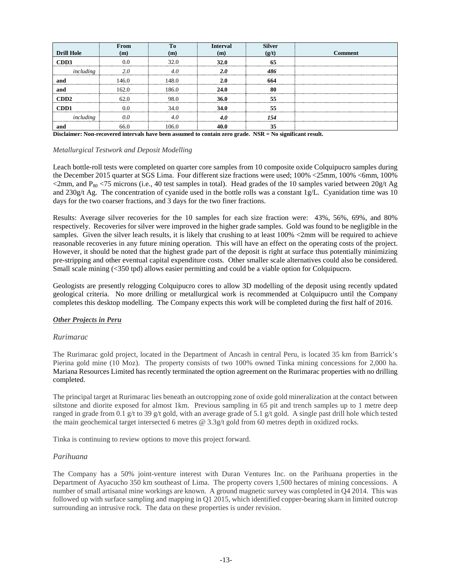|                                                  | <b>From</b> | $T_0$ | Interval | <b>Silver</b> |         |
|--------------------------------------------------|-------------|-------|----------|---------------|---------|
| <b>Drill Hole</b>                                | m           | m     | (m       |               | Comment |
| CD <sub>D</sub> 3                                |             |       | 32.1     |               |         |
|                                                  |             |       |          | 481           |         |
| ano<br>----------------------------<br>--------- |             | 48.0  |          | 664           |         |
| and                                              |             | 186.0 |          |               |         |
| CD <sub>D</sub> 2                                |             |       | 36.0     |               |         |
| CDD <sub>1</sub>                                 |             | 34 (  |          |               |         |
| including                                        |             |       |          |               |         |
| ano                                              | 66 C        | 106 ( |          |               |         |

**Disclaimer: Non-recovered intervals have been assumed to contain zero grade. NSR = No significant result.**

### *Metallurgical Testwork and Deposit Modelling*

Leach bottle-roll tests were completed on quarter core samples from 10 composite oxide Colquipucro samples during the December 2015 quarter at SGS Lima. Four different size fractions were used;  $100\% < 25$ mm,  $100\% < 6$ mm,  $100\%$  $\langle$ 2mm, and P<sub>80</sub> $\langle$ 75 microns (i.e., 40 test samples in total). Head grades of the 10 samples varied between 20g/t Ag and 230g/t Ag. The concentration of cyanide used in the bottle rolls was a constant 1g/L. Cyanidation time was 10 days for the two coarser fractions, and 3 days for the two finer fractions.

Results: Average silver recoveries for the 10 samples for each size fraction were: 43%, 56%, 69%, and 80% respectively. Recoveries for silver were improved in the higher grade samples. Gold was found to be negligible in the samples. Given the silver leach results, it is likely that crushing to at least 100% <2mm will be required to achieve reasonable recoveries in any future mining operation. This will have an effect on the operating costs of the project. However, it should be noted that the highest grade part of the deposit is right at surface thus potentially minimizing pre-stripping and other eventual capital expenditure costs. Other smaller scale alternatives could also be considered. Small scale mining (<350 tpd) allows easier permitting and could be a viable option for Colquipucro.

Geologists are presently relogging Colquipucro cores to allow 3D modelling of the deposit using recently updated geological criteria. No more drilling or metallurgical work is recommended at Colquipucro until the Company completes this desktop modelling. The Company expects this work will be completed during the first half of 2016.

# *Other Projects in Peru*

# *Rurimarac*

The Rurimarac gold project, located in the Department of Ancash in central Peru, is located 35 km from Barrick's Pierina gold mine (10 Moz). The property consists of two 100% owned Tinka mining concessions for 2,000 ha. Mariana Resources Limited has recently terminated the option agreement on the Rurimarac properties with no drilling completed.

The principal target at Rurimarac lies beneath an outcropping zone of oxide gold mineralization at the contact between siltstone and diorite exposed for almost 1km. Previous sampling in 65 pit and trench samples up to 1 metre deep ranged in grade from 0.1 g/t to 39 g/t gold, with an average grade of 5.1 g/t gold. A single past drill hole which tested the main geochemical target intersected 6 metres @ 3.3g/t gold from 60 metres depth in oxidized rocks.

Tinka is continuing to review options to move this project forward.

# *Parihuana*

The Company has a 50% joint-venture interest with Duran Ventures Inc. on the Parihuana properties in the Department of Ayacucho 350 km southeast of Lima. The property covers 1,500 hectares of mining concessions. A number of small artisanal mine workings are known. A ground magnetic survey was completed in Q4 2014. This was followed up with surface sampling and mapping in Q1 2015, which identified copper-bearing skarn in limited outcrop surrounding an intrusive rock. The data on these properties is under revision.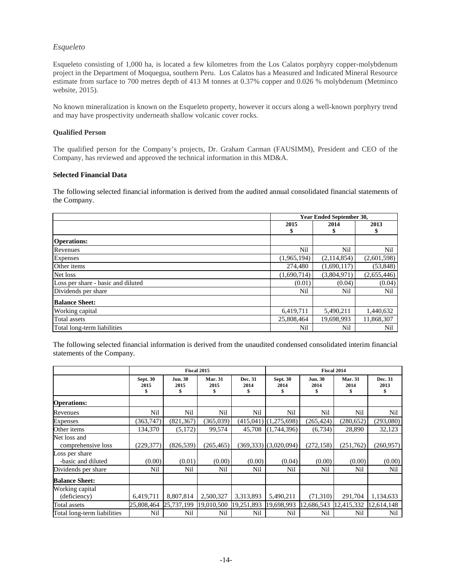# *Esqueleto*

Esqueleto consisting of 1,000 ha, is located a few kilometres from the Los Calatos porphyry copper-molybdenum project in the Department of Moquegua, southern Peru. Los Calatos has a Measured and Indicated Mineral Resource estimate from surface to 700 metres depth of 413 M tonnes at 0.37% copper and 0.026 % molybdenum (Metminco website, 2015).

No known mineralization is known on the Esqueleto property, however it occurs along a well-known porphyry trend and may have prospectivity underneath shallow volcanic cover rocks.

### **Qualified Person**

The qualified person for the Company's projects, Dr. Graham Carman (FAUSIMM), President and CEO of the Company, has reviewed and approved the technical information in this MD&A.

### **Selected Financial Data**

The following selected financial information is derived from the audited annual consolidated financial statements of the Company.

|                                    |             | <b>Year Ended September 30,</b> |             |  |
|------------------------------------|-------------|---------------------------------|-------------|--|
|                                    | 2015        | 2014                            | 2013<br>\$  |  |
| <b>Operations:</b>                 |             |                                 |             |  |
| Revenues                           | Nil         | Nil                             | Nil         |  |
| <b>Expenses</b>                    | (1,965,194) | (2,114,854)                     | (2,601,598) |  |
| Other items                        | 274,480     | (1,690,117)                     | (53, 848)   |  |
| Net loss                           | (1,690,714) | (3,804,971)                     | (2,655,446) |  |
| Loss per share - basic and diluted | (0.01)      | (0.04)                          | (0.04)      |  |
| Dividends per share                | Nil         | Nil                             | Nil         |  |
| <b>Balance Sheet:</b>              |             |                                 |             |  |
| Working capital                    | 6,419,711   | 5,490,211                       | 1,440,632   |  |
| Total assets                       | 25,808,464  | 19,698,993                      | 11,868,307  |  |
| Total long-term liabilities        | Nil         | Nil                             | Nil         |  |

The following selected financial information is derived from the unaudited condensed consolidated interim financial statements of the Company.

|                                      | Fiscal 2015                   |                        |                        | Fiscal 2014           |                               |                        |                        |                       |
|--------------------------------------|-------------------------------|------------------------|------------------------|-----------------------|-------------------------------|------------------------|------------------------|-----------------------|
|                                      | <b>Sept. 30</b><br>2015<br>\$ | <b>Jun. 30</b><br>2015 | <b>Mar. 31</b><br>2015 | Dec. 31<br>2014<br>\$ | <b>Sept. 30</b><br>2014<br>\$ | <b>Jun. 30</b><br>2014 | <b>Mar. 31</b><br>2014 | Dec. 31<br>2013<br>\$ |
| <b>Operations:</b>                   |                               |                        |                        |                       |                               |                        |                        |                       |
| Revenues                             | Nil                           | Nil                    | Nil                    | Nil                   | Nil                           | Nil                    | Nil                    | Nil                   |
| <b>Expenses</b>                      | (363,747)                     | (821, 367)             | (365,039)              |                       | $(415,041)$ $(1,275,698)$     | (265, 424)             | (280, 652)             | (293,080)             |
| Other items                          | 134,370                       | (5,172)                | 99,574                 | 45,708                | (1,744,396)                   | (6,734)                | 28,890                 | 32,123                |
| Net loss and<br>comprehensive loss   | (229, 377)                    | (826, 539)             | (265, 465)             |                       | $(369,333)$ $(3,020,094)$     | (272, 158)             | (251, 762)             | (260, 957)            |
| Loss per share<br>-basic and diluted | (0.00)                        | (0.01)                 | (0.00)                 | (0.00)                | (0.04)                        | (0.00)                 | (0.00)                 | (0.00)                |
| Dividends per share                  | Nil                           | Nil                    | Nil                    | Nil                   | Nil                           | Nil                    | Nil                    | Nil                   |
| <b>Balance Sheet:</b>                |                               |                        |                        |                       |                               |                        |                        |                       |
| Working capital                      |                               |                        |                        |                       |                               |                        |                        |                       |
| (deficiency)                         | 6,419,711                     | 8,807,814              | 2,500,327              | 3,313,893             | 5,490,211                     | (71,310)               | 291,704                | 1,134,633             |
| Total assets                         | 25,808,464                    | 25,737,199             | 19,010,500             | 19,251,893            | 19,698,993                    | 12,686,543             | 12,415,332             | 12,614,148            |
| Total long-term liabilities          | Nil                           | Nil                    | Nil                    | Nil                   | Nil                           | Nil                    | Nil                    | Nil                   |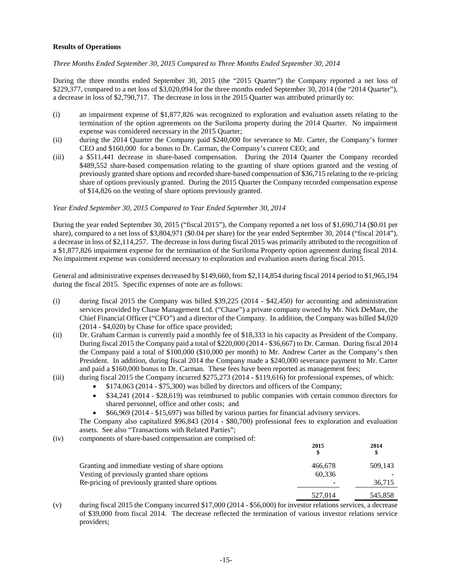# **Results of Operations**

### *Three Months Ended September 30, 2015 Compared to Three Months Ended September 30, 2014*

During the three months ended September 30, 2015 (the "2015 Quarter") the Company reported a net loss of \$229,377, compared to a net loss of \$3,020,094 for the three months ended September 30, 2014 (the "2014 Quarter"), a decrease in loss of \$2,790,717. The decrease in loss in the 2015 Quarter was attributed primarily to:

- (i) an impairment expense of \$1,877,826 was recognized to exploration and evaluation assets relating to the termination of the option agreements on the Suriloma property during the 2014 Quarter. No impairment expense was considered necessary in the 2015 Quarter;
- (ii) during the 2014 Quarter the Company paid \$240,000 for severance to Mr. Carter, the Company's former CEO and \$160,000 for a bonus to Dr. Carman, the Company's current CEO; and
- (iii) a \$511,441 decrease in share-based compensation. During the 2014 Quarter the Company recorded \$489,552 share-based compensation relating to the granting of share options granted and the vesting of previously granted share options and recorded share-based compensation of \$36,715 relating to the re-pricing share of options previously granted. During the 2015 Quarter the Company recorded compensation expense of \$14,826 on the vesting of share options previously granted.

### *Year Ended September 30, 2015 Compared to Year Ended September 30, 2014*

During the year ended September 30, 2015 ("fiscal 2015"), the Company reported a net loss of \$1,690,714 (\$0.01 per share), compared to a net loss of \$3,804,971 (\$0.04 per share) for the year ended September 30, 2014 ("fiscal 2014"), a decrease in loss of \$2,114,257. The decrease in loss during fiscal 2015 was primarily attributed to the recognition of a \$1,877,826 impairment expense for the termination of the Suriloma Property option agreement during fiscal 2014. No impairment expense was considered necessary to exploration and evaluation assets during fiscal 2015.

General and administrative expenses decreased by \$149,660, from \$2,114,854 during fiscal 2014 period to \$1,965,194 during the fiscal 2015. Specific expenses of note are as follows:

- (i) during fiscal 2015 the Company was billed \$39,225 (2014 \$42,450) for accounting and administration services provided by Chase Management Ltd. ("Chase") a private company owned by Mr. Nick DeMare, the Chief Financial Officer ("CFO") and a director of the Company. In addition, the Company was billed \$4,020 (2014 - \$4,020) by Chase for office space provided;
- (ii) Dr. Graham Carman is currently paid a monthly fee of \$18,333 in his capacity as President of the Company. During fiscal 2015 the Company paid a total of \$220,000 (2014 - \$36,667) to Dr. Carman. During fiscal 2014 the Company paid a total of \$100,000 (\$10,000 per month) to Mr. Andrew Carter as the Company's then President. In addition, during fiscal 2014 the Company made a \$240,000 severance payment to Mr. Carter and paid a \$160,000 bonus to Dr. Carman. These fees have been reported as management fees;
- (iii) during fiscal 2015 the Company incurred \$275,273 (2014 \$119,616) for professional expenses, of which:
	- \$174,063 (2014 \$75,300) was billed by directors and officers of the Company;
	- \$34,241 (2014 \$28,619) was reimbursed to public companies with certain common directors for shared personnel, office and other costs; and
	- \$66,969 (2014 \$15,697) was billed by various parties for financial advisory services.

The Company also capitalized \$96,843 (2014 - \$80,700) professional fees to exploration and evaluation assets. See also "Transactions with Related Parties";

(iv) components of share-based compensation are comprised of:

|                                                 | 2015    | 2014<br>\$ |
|-------------------------------------------------|---------|------------|
| Granting and immediate vesting of share options | 466.678 | 509,143    |
| Vesting of previously granted share options     | 60,336  |            |
| Re-pricing of previously granted share options  |         | 36,715     |
|                                                 | 527.014 | 545,858    |

(v) during fiscal 2015 the Company incurred \$17,000 (2014 - \$56,000) for investor relations services, a decrease of \$39,000 from fiscal 2014. The decrease reflected the termination of various investor relations service providers;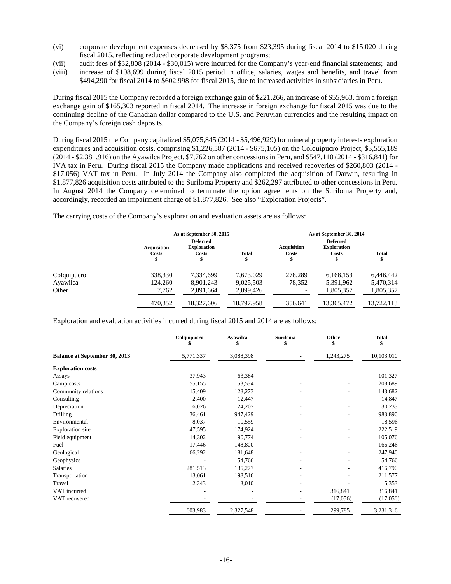- (vi) corporate development expenses decreased by \$8,375 from \$23,395 during fiscal 2014 to \$15,020 during fiscal 2015, reflecting reduced corporate development programs;
- (vii) audit fees of \$32,808 (2014 \$30,015) were incurred for the Company's year-end financial statements; and
- (viii) increase of \$108,699 during fiscal 2015 period in office, salaries, wages and benefits, and travel from \$494,290 for fiscal 2014 to \$602,998 for fiscal 2015, due to increased activities in subsidiaries in Peru.

During fiscal 2015 the Company recorded a foreign exchange gain of \$221,266, an increase of \$55,963, from a foreign exchange gain of \$165,303 reported in fiscal 2014. The increase in foreign exchange for fiscal 2015 was due to the continuing decline of the Canadian dollar compared to the U.S. and Peruvian currencies and the resulting impact on the Company's foreign cash deposits.

During fiscal 2015 the Company capitalized \$5,075,845 (2014 - \$5,496,929) for mineral property interests exploration expenditures and acquisition costs, comprising \$1,226,587 (2014 - \$675,105) on the Colquipucro Project, \$3,555,189 (2014 - \$2,381,916) on the Ayawilca Project, \$7,762 on other concessions in Peru, and \$547,110 (2014 - \$316,841) for IVA tax in Peru. During fiscal 2015 the Company made applications and received recoveries of \$260,803 (2014 - \$17,056) VAT tax in Peru. In July 2014 the Company also completed the acquisition of Darwin, resulting in \$1,877,826 acquisition costs attributed to the Suriloma Property and \$262,297 attributed to other concessions in Peru. In August 2014 the Company determined to terminate the option agreements on the Suriloma Property and, accordingly, recorded an impairment charge of \$1,877,826. See also "Exploration Projects".

The carrying costs of the Company's exploration and evaluation assets are as follows:

|             |                            | As at September 30, 2015                       |             |                      | As at September 30, 2014                       |                    |  |  |
|-------------|----------------------------|------------------------------------------------|-------------|----------------------|------------------------------------------------|--------------------|--|--|
|             | Acquisition<br>Costs<br>\$ | <b>Deferred</b><br><b>Exploration</b><br>Costs | Total<br>\$ | Acquisition<br>Costs | <b>Deferred</b><br><b>Exploration</b><br>Costs | <b>Total</b><br>\$ |  |  |
| Colquipucro | 338,330                    | 7,334,699                                      | 7,673,029   | 278,289              | 6,168,153                                      | 6.446.442          |  |  |
| Ayawilca    | 124.260                    | 8,901,243                                      | 9,025,503   | 78,352               | 5,391,962                                      | 5,470,314          |  |  |
| Other       | 7,762                      | 2,091,664                                      | 2,099,426   | -                    | 1,805,357                                      | 1,805,357          |  |  |
|             | 470,352                    | 18,327,606                                     | 18,797,958  | 356,641              | 13,365,472                                     | 13.722.113         |  |  |

Exploration and evaluation activities incurred during fiscal 2015 and 2014 are as follows:

|                                      | Colquipucro | Ayawilca  | <b>Suriloma</b> | Other<br>ä. | <b>Total</b><br>\$ |
|--------------------------------------|-------------|-----------|-----------------|-------------|--------------------|
| <b>Balance at September 30, 2013</b> | 5,771,337   | 3,088,398 |                 | 1,243,275   | 10,103,010         |
| <b>Exploration costs</b>             |             |           |                 |             |                    |
| Assays                               | 37,943      | 63,384    |                 |             | 101,327            |
| Camp costs                           | 55,155      | 153,534   |                 |             | 208,689            |
| Community relations                  | 15,409      | 128,273   |                 |             | 143,682            |
| Consulting                           | 2,400       | 12,447    |                 |             | 14,847             |
| Depreciation                         | 6,026       | 24,207    |                 | ٠           | 30,233             |
| Drilling                             | 36,461      | 947,429   |                 |             | 983,890            |
| Environmental                        | 8,037       | 10,559    |                 |             | 18,596             |
| <b>Exploration</b> site              | 47,595      | 174,924   |                 |             | 222,519            |
| Field equipment                      | 14,302      | 90,774    |                 |             | 105,076            |
| Fuel                                 | 17,446      | 148,800   |                 |             | 166,246            |
| Geological                           | 66,292      | 181,648   |                 |             | 247,940            |
| Geophysics                           |             | 54,766    |                 |             | 54,766             |
| <b>Salaries</b>                      | 281,513     | 135,277   |                 |             | 416,790            |
| Transportation                       | 13,061      | 198,516   |                 |             | 211,577            |
| Travel                               | 2,343       | 3,010     |                 |             | 5,353              |
| VAT incurred                         |             |           |                 | 316,841     | 316,841            |
| VAT recovered                        |             |           |                 | (17,056)    | (17,056)           |
|                                      | 603,983     | 2,327,548 |                 | 299,785     | 3,231,316          |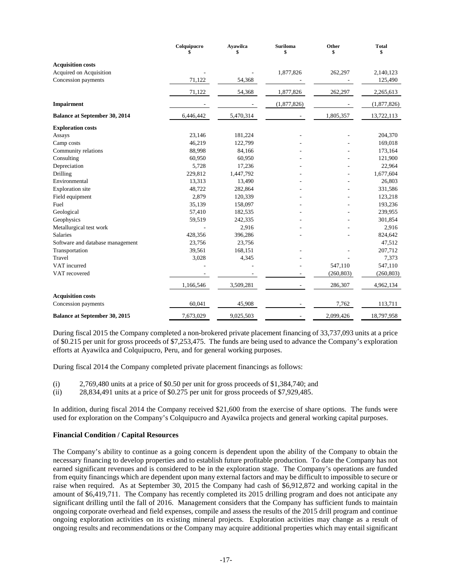|                                      | Colquipucro<br>\$ | <b>Avawilca</b><br>\$ | <b>Suriloma</b><br>\$ | Other<br>\$ | <b>Total</b><br>\$ |
|--------------------------------------|-------------------|-----------------------|-----------------------|-------------|--------------------|
| <b>Acquisition costs</b>             |                   |                       |                       |             |                    |
| Acquired on Acquisition              |                   |                       | 1,877,826             | 262,297     | 2,140,123          |
| Concession payments                  | 71,122            | 54,368                |                       |             | 125,490            |
|                                      | 71,122            | 54,368                | 1,877,826             | 262,297     | 2,265,613          |
| <b>Impairment</b>                    |                   |                       | (1,877,826)           |             | (1,877,826)        |
| <b>Balance at September 30, 2014</b> | 6,446,442         | 5,470,314             |                       | 1,805,357   | 13,722,113         |
| <b>Exploration costs</b>             |                   |                       |                       |             |                    |
| Assays                               | 23,146            | 181,224               |                       |             | 204,370            |
| Camp costs                           | 46,219            | 122,799               |                       |             | 169,018            |
| Community relations                  | 88,998            | 84,166                |                       |             | 173,164            |
| Consulting                           | 60,950            | 60,950                |                       |             | 121,900            |
| Depreciation                         | 5,728             | 17,236                |                       |             | 22,964             |
| Drilling                             | 229,812           | 1,447,792             |                       |             | 1,677,604          |
| Environmental                        | 13,313            | 13,490                |                       |             | 26,803             |
| <b>Exploration</b> site              | 48,722            | 282,864               |                       |             | 331,586            |
| Field equipment                      | 2,879             | 120,339               |                       |             | 123,218            |
| Fuel                                 | 35,139            | 158,097               |                       |             | 193,236            |
| Geological                           | 57,410            | 182,535               |                       |             | 239,955            |
| Geophysics                           | 59,519            | 242,335               |                       |             | 301,854            |
| Metallurgical test work              |                   | 2,916                 |                       |             | 2,916              |
| <b>Salaries</b>                      | 428,356           | 396,286               |                       |             | 824,642            |
| Software and database management     | 23,756            | 23,756                |                       |             | 47,512             |
| Transportation                       | 39,561            | 168,151               |                       |             | 207,712            |
| Travel                               | 3,028             | 4,345                 |                       |             | 7,373              |
| VAT incurred                         |                   |                       |                       | 547,110     | 547,110            |
| VAT recovered                        |                   |                       |                       | (260, 803)  | (260, 803)         |
|                                      | 1,166,546         | 3,509,281             |                       | 286,307     | 4,962,134          |
| <b>Acquisition costs</b>             |                   |                       |                       |             |                    |
| Concession payments                  | 60,041            | 45,908                |                       | 7,762       | 113,711            |
| <b>Balance at September 30, 2015</b> | 7,673,029         | 9,025,503             |                       | 2,099,426   | 18,797,958         |

During fiscal 2015 the Company completed a non-brokered private placement financing of 33,737,093 units at a price of \$0.215 per unit for gross proceeds of \$7,253,475. The funds are being used to advance the Company's exploration efforts at Ayawilca and Colquipucro, Peru, and for general working purposes.

During fiscal 2014 the Company completed private placement financings as follows:

- (i) 2,769,480 units at a price of \$0.50 per unit for gross proceeds of \$1,384,740; and
- (ii) 28,834,491 units at a price of \$0.275 per unit for gross proceeds of \$7,929,485.

In addition, during fiscal 2014 the Company received \$21,600 from the exercise of share options. The funds were used for exploration on the Company's Colquipucro and Ayawilca projects and general working capital purposes.

# **Financial Condition / Capital Resources**

The Company's ability to continue as a going concern is dependent upon the ability of the Company to obtain the necessary financing to develop properties and to establish future profitable production. To date the Company has not earned significant revenues and is considered to be in the exploration stage. The Company's operations are funded from equity financings which are dependent upon many external factors and may be difficult to impossible to secure or raise when required. As at September 30, 2015 the Company had cash of \$6,912,872 and working capital in the amount of \$6,419,711. The Company has recently completed its 2015 drilling program and does not anticipate any significant drilling until the fall of 2016. Management considers that the Company has sufficient funds to maintain ongoing corporate overhead and field expenses, compile and assess the results of the 2015 drill program and continue ongoing exploration activities on its existing mineral projects. Exploration activities may change as a result of ongoing results and recommendations or the Company may acquire additional properties which may entail significant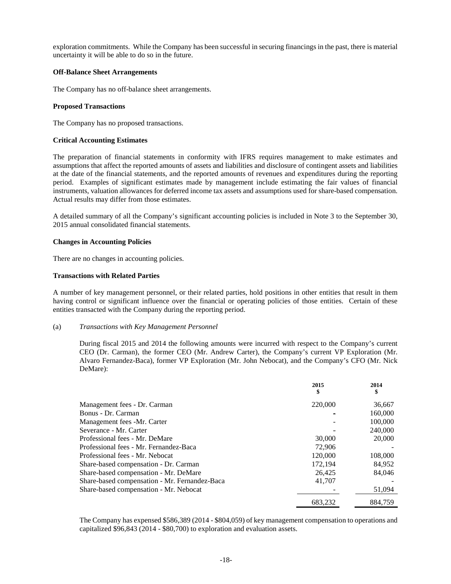exploration commitments. While the Company has been successful in securing financings in the past, there is material uncertainty it will be able to do so in the future.

### **Off-Balance Sheet Arrangements**

The Company has no off-balance sheet arrangements.

### **Proposed Transactions**

The Company has no proposed transactions.

### **Critical Accounting Estimates**

The preparation of financial statements in conformity with IFRS requires management to make estimates and assumptions that affect the reported amounts of assets and liabilities and disclosure of contingent assets and liabilities at the date of the financial statements, and the reported amounts of revenues and expenditures during the reporting period. Examples of significant estimates made by management include estimating the fair values of financial instruments, valuation allowances for deferred income tax assets and assumptions used for share-based compensation. Actual results may differ from those estimates.

A detailed summary of all the Company's significant accounting policies is included in Note 3 to the September 30, 2015 annual consolidated financial statements.

### **Changes in Accounting Policies**

There are no changes in accounting policies.

### **Transactions with Related Parties**

A number of key management personnel, or their related parties, hold positions in other entities that result in them having control or significant influence over the financial or operating policies of those entities. Certain of these entities transacted with the Company during the reporting period.

# (a) *Transactions with Key Management Personnel*

During fiscal 2015 and 2014 the following amounts were incurred with respect to the Company's current CEO (Dr. Carman), the former CEO (Mr. Andrew Carter), the Company's current VP Exploration (Mr. Alvaro Fernandez-Baca), former VP Exploration (Mr. John Nebocat), and the Company's CFO (Mr. Nick DeMare):

|                                               | 2015<br>\$ | 2014<br>\$ |
|-----------------------------------------------|------------|------------|
| Management fees - Dr. Carman                  | 220,000    | 36,667     |
| Bonus - Dr. Carman                            |            | 160,000    |
| Management fees -Mr. Carter                   |            | 100,000    |
| Severance - Mr. Carter                        |            | 240,000    |
| Professional fees - Mr. DeMare                | 30,000     | 20,000     |
| Professional fees - Mr. Fernandez-Baca        | 72,906     |            |
| Professional fees - Mr. Nebocat               | 120,000    | 108,000    |
| Share-based compensation - Dr. Carman         | 172,194    | 84,952     |
| Share-based compensation - Mr. DeMare         | 26.425     | 84.046     |
| Share-based compensation - Mr. Fernandez-Baca | 41,707     |            |
| Share-based compensation - Mr. Nebocat        |            | 51,094     |
|                                               | 683.232    | 884,759    |

The Company has expensed \$586,389 (2014 - \$804,059) of key management compensation to operations and capitalized \$96,843 (2014 - \$80,700) to exploration and evaluation assets.